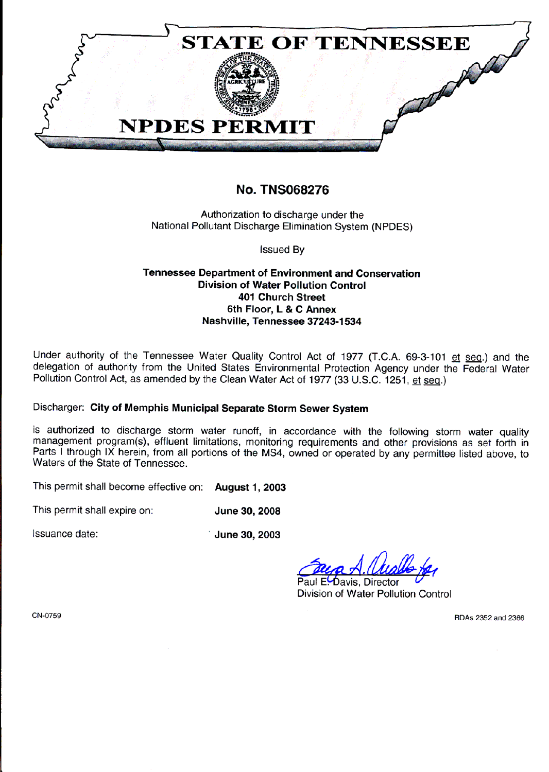

## **No. TNS068276**

Authorization to discharge under the National Pollutant Discharge Elimination System (NPDES)

**Issued Bv** 

## **Tennessee Department of Environment and Conservation Division of Water Pollution Control 401 Church Street** 6th Floor, L & C Annex Nashville, Tennessee 37243-1534

Under authority of the Tennessee Water Quality Control Act of 1977 (T.C.A. 69-3-101 et seq.) and the delegation of authority from the United States Environmental Protection Agency under the Federal Water Pollution Control Act, as amended by the Clean Water Act of 1977 (33 U.S.C. 1251, et seq.)

## Discharger: City of Memphis Municipal Separate Storm Sewer System

is authorized to discharge storm water runoff, in accordance with the following storm water quality management program(s), effluent limitations, monitoring requirements and other provisions as set forth in Parts I through IX herein, from all portions of the MS4, owned or operated by any permittee listed above, to Waters of the State of Tennessee.

This permit shall become effective on: August 1, 2003

This permit shall expire on: June 30, 2008

Issuance date:

June 30, 2003

Paul E-Davis, Director Division of Water Pollution Control

CN-0759

RDAs 2352 and 2366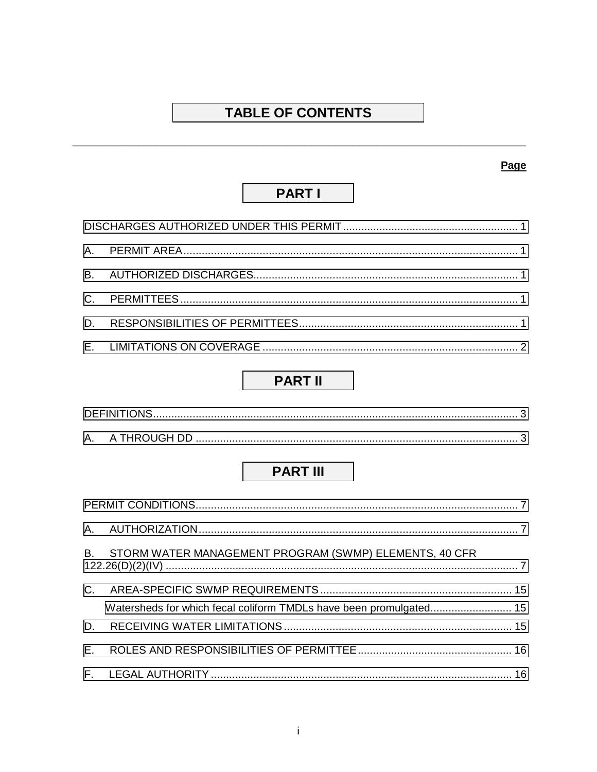# **TABLE OF CONTENTS**

## Page

# **PART I**

## **PART II**

# **PART III**

|     | B. STORM WATER MANAGEMENT PROGRAM (SWMP) ELEMENTS, 40 CFR          |  |
|-----|--------------------------------------------------------------------|--|
|     |                                                                    |  |
|     | Watersheds for which fecal coliform TMDLs have been promulgated 15 |  |
|     |                                                                    |  |
| E., |                                                                    |  |
|     |                                                                    |  |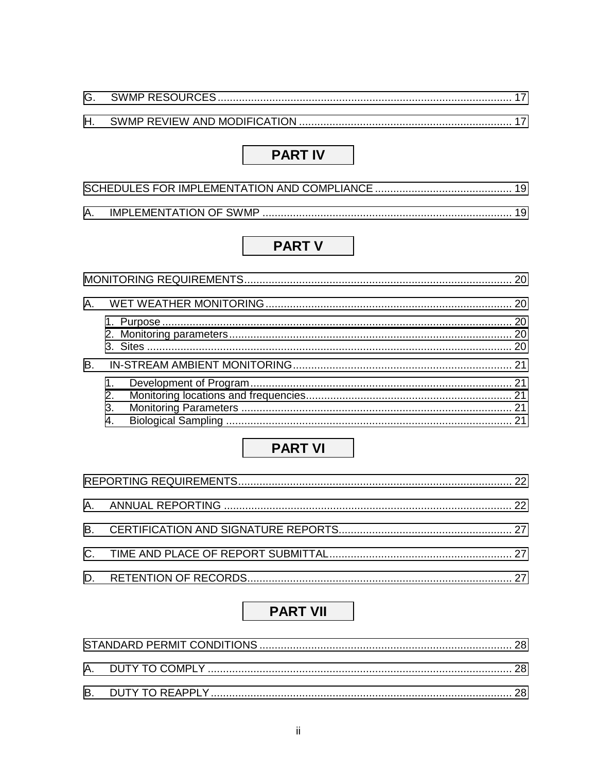## **PART IV**

## **PART V**

| В. |                      |  |
|----|----------------------|--|
|    | 1.<br>2.<br>3.<br>4. |  |

# **PART VI**

## **PART VII**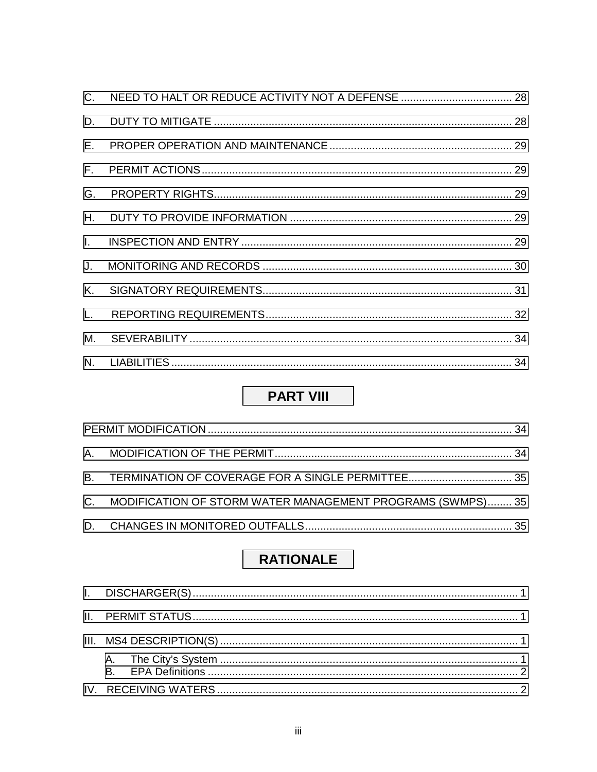| $C_{1}$      |  |
|--------------|--|
| D.           |  |
| Е.           |  |
| $F_{\rm{H}}$ |  |
| G.           |  |
| H.           |  |
| $\mathbf{L}$ |  |
| $J_{\cdot}$  |  |
| Κ.           |  |
| L.           |  |
| М.           |  |
|              |  |

# **PART VIII**

| C. MODIFICATION OF STORM WATER MANAGEMENT PROGRAMS (SWMPS) 35 |  |
|---------------------------------------------------------------|--|
|                                                               |  |

# **RATIONALE**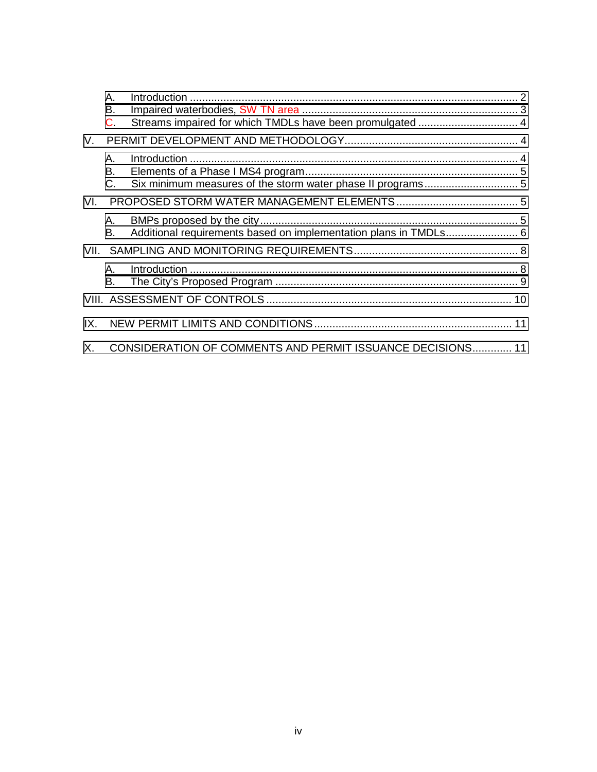|     | А.<br>В.     |                                                                  |  |
|-----|--------------|------------------------------------------------------------------|--|
|     | $\mathsf{C}$ |                                                                  |  |
| V.  |              |                                                                  |  |
|     | Α.           |                                                                  |  |
|     | В.           |                                                                  |  |
|     | C.           |                                                                  |  |
| VL. |              |                                                                  |  |
|     | А.<br>В.     | Additional requirements based on implementation plans in TMDLs 6 |  |
|     |              |                                                                  |  |
|     | A.           |                                                                  |  |
|     | В.           |                                                                  |  |
|     |              |                                                                  |  |
| IX. |              |                                                                  |  |
| Χ.  |              | CONSIDERATION OF COMMENTS AND PERMIT ISSUANCE DECISIONS 11       |  |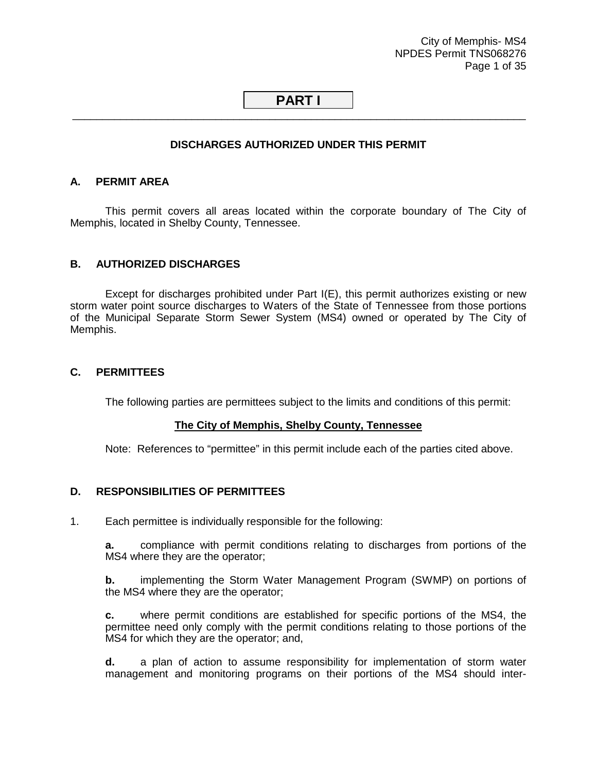City of Memphis- MS4 NPDES Permit TNS068276 Page 1 of 35

## <span id="page-5-0"></span>**PART I** \_\_\_\_\_\_\_\_\_\_\_\_\_\_\_\_\_\_\_\_\_\_\_\_\_\_\_\_\_\_\_\_\_\_\_\_\_\_\_\_\_\_\_\_\_\_\_\_\_\_\_\_\_\_\_\_\_\_\_\_\_\_\_\_\_\_\_\_\_\_\_\_\_\_\_\_

## **DISCHARGES AUTHORIZED UNDER THIS PERMIT**

#### **A. PERMIT AREA**

 This permit covers all areas located within the corporate boundary of The City of Memphis, located in Shelby County, Tennessee.

#### **B. AUTHORIZED DISCHARGES**

 Except for discharges prohibited under Part I(E), this permit authorizes existing or new storm water point source discharges to Waters of the State of Tennessee from those portions of the Municipal Separate Storm Sewer System (MS4) owned or operated by The City of Memphis.

## **C. PERMITTEES**

The following parties are permittees subject to the limits and conditions of this permit:

#### **The City of Memphis, Shelby County, Tennessee**

Note: References to "permittee" in this permit include each of the parties cited above.

#### **D. RESPONSIBILITIES OF PERMITTEES**

1. Each permittee is individually responsible for the following:

**a.** compliance with permit conditions relating to discharges from portions of the MS4 where they are the operator;

**b.** implementing the Storm Water Management Program (SWMP) on portions of the MS4 where they are the operator;

**c.** where permit conditions are established for specific portions of the MS4, the permittee need only comply with the permit conditions relating to those portions of the MS4 for which they are the operator; and,

**d.** a plan of action to assume responsibility for implementation of storm water management and monitoring programs on their portions of the MS4 should inter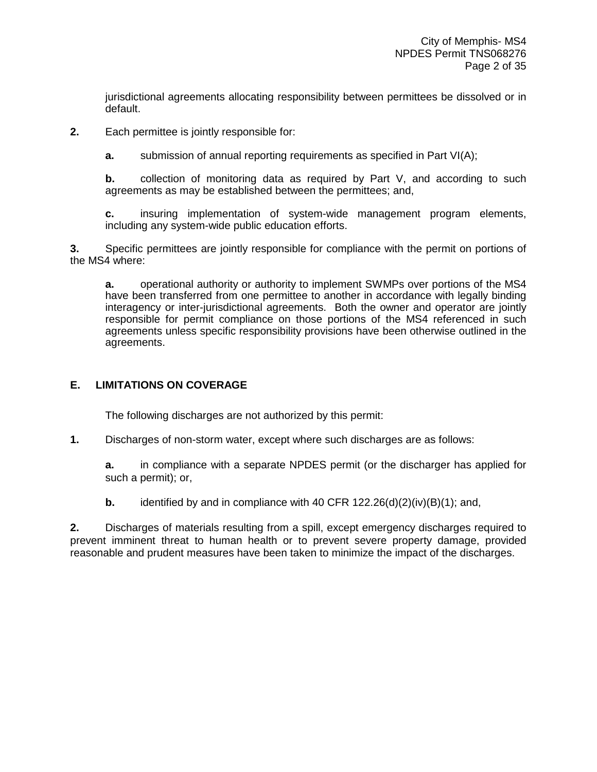<span id="page-6-0"></span>jurisdictional agreements allocating responsibility between permittees be dissolved or in default.

**2.** Each permittee is jointly responsible for:

**a.** submission of annual reporting requirements as specified in Part VI(A);

**b.** collection of monitoring data as required by Part V, and according to such agreements as may be established between the permittees; and,

**c.** insuring implementation of system-wide management program elements, including any system-wide public education efforts.

**3.** Specific permittees are jointly responsible for compliance with the permit on portions of the MS4 where:

**a.** operational authority or authority to implement SWMPs over portions of the MS4 have been transferred from one permittee to another in accordance with legally binding interagency or inter-jurisdictional agreements. Both the owner and operator are jointly responsible for permit compliance on those portions of the MS4 referenced in such agreements unless specific responsibility provisions have been otherwise outlined in the agreements.

## **E. LIMITATIONS ON COVERAGE**

The following discharges are not authorized by this permit:

**1.** Discharges of non-storm water, except where such discharges are as follows:

**a.** in compliance with a separate NPDES permit (or the discharger has applied for such a permit); or,

**b.** identified by and in compliance with 40 CFR 122.26(d)(2)(iv)(B)(1); and,

**2.** Discharges of materials resulting from a spill, except emergency discharges required to prevent imminent threat to human health or to prevent severe property damage, provided reasonable and prudent measures have been taken to minimize the impact of the discharges.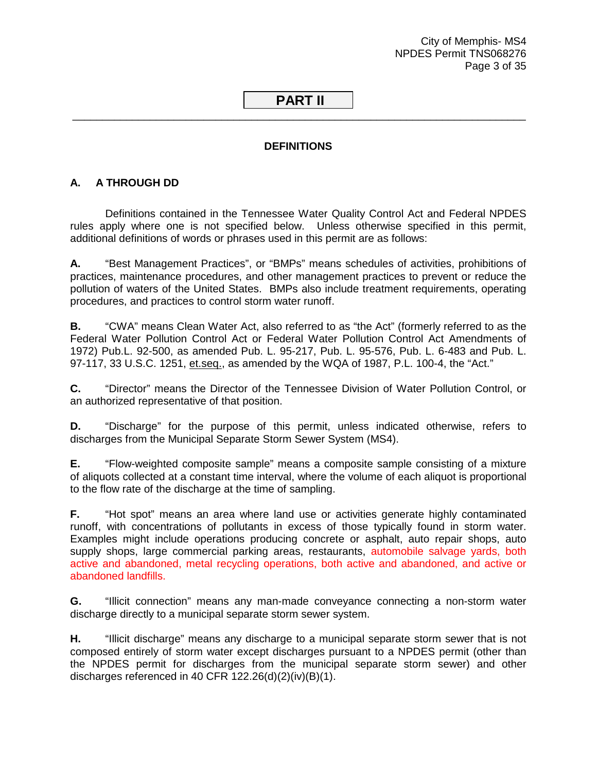City of Memphis- MS4 NPDES Permit TNS068276 Page 3 of 35

## <span id="page-7-0"></span> **PART II** \_\_\_\_\_\_\_\_\_\_\_\_\_\_\_\_\_\_\_\_\_\_\_\_\_\_\_\_\_\_\_\_\_\_\_\_\_\_\_\_\_\_\_\_\_\_\_\_\_\_\_\_\_\_\_\_\_\_\_\_\_\_\_\_\_\_\_\_\_\_\_\_\_\_\_\_

## **DEFINITIONS**

## **A. A THROUGH DD**

 Definitions contained in the Tennessee Water Quality Control Act and Federal NPDES rules apply where one is not specified below. Unless otherwise specified in this permit, additional definitions of words or phrases used in this permit are as follows:

**A.** "Best Management Practices", or "BMPs" means schedules of activities, prohibitions of practices, maintenance procedures, and other management practices to prevent or reduce the pollution of waters of the United States. BMPs also include treatment requirements, operating procedures, and practices to control storm water runoff.

**B.** "CWA" means Clean Water Act, also referred to as "the Act" (formerly referred to as the Federal Water Pollution Control Act or Federal Water Pollution Control Act Amendments of 1972) Pub.L. 92-500, as amended Pub. L. 95-217, Pub. L. 95-576, Pub. L. 6-483 and Pub. L. 97-117, 33 U.S.C. 1251, et.seq., as amended by the WQA of 1987, P.L. 100-4, the "Act."

**C.** "Director" means the Director of the Tennessee Division of Water Pollution Control, or an authorized representative of that position.

**D.** "Discharge" for the purpose of this permit, unless indicated otherwise, refers to discharges from the Municipal Separate Storm Sewer System (MS4).

**E.** "Flow-weighted composite sample" means a composite sample consisting of a mixture of aliquots collected at a constant time interval, where the volume of each aliquot is proportional to the flow rate of the discharge at the time of sampling.

**F.** "Hot spot" means an area where land use or activities generate highly contaminated runoff, with concentrations of pollutants in excess of those typically found in storm water. Examples might include operations producing concrete or asphalt, auto repair shops, auto supply shops, large commercial parking areas, restaurants, automobile salvage yards, both active and abandoned, metal recycling operations, both active and abandoned, and active or abandoned landfills.

**G.** "Illicit connection" means any man-made conveyance connecting a non-storm water discharge directly to a municipal separate storm sewer system.

**H.** "Illicit discharge" means any discharge to a municipal separate storm sewer that is not composed entirely of storm water except discharges pursuant to a NPDES permit (other than the NPDES permit for discharges from the municipal separate storm sewer) and other discharges referenced in 40 CFR 122.26(d)(2)(iv)(B)(1).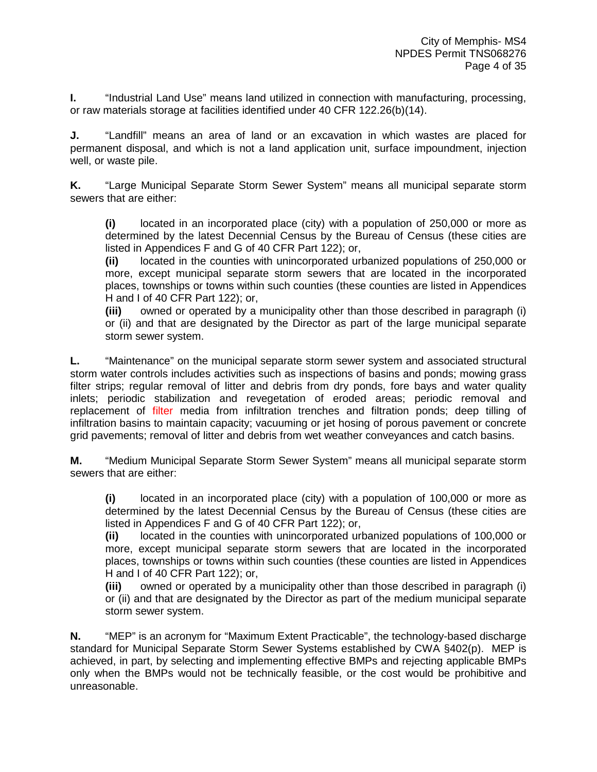**I.** "Industrial Land Use" means land utilized in connection with manufacturing, processing, or raw materials storage at facilities identified under 40 CFR 122.26(b)(14).

**J.** "Landfill" means an area of land or an excavation in which wastes are placed for permanent disposal, and which is not a land application unit, surface impoundment, injection well, or waste pile.

**K.** "Large Municipal Separate Storm Sewer System" means all municipal separate storm sewers that are either:

**(i)** located in an incorporated place (city) with a population of 250,000 or more as determined by the latest Decennial Census by the Bureau of Census (these cities are listed in Appendices F and G of 40 CFR Part 122); or,

**(ii)** located in the counties with unincorporated urbanized populations of 250,000 or more, except municipal separate storm sewers that are located in the incorporated places, townships or towns within such counties (these counties are listed in Appendices H and I of 40 CFR Part 122); or,

**(iii)** owned or operated by a municipality other than those described in paragraph (i) or (ii) and that are designated by the Director as part of the large municipal separate storm sewer system.

**L.** "Maintenance" on the municipal separate storm sewer system and associated structural storm water controls includes activities such as inspections of basins and ponds; mowing grass filter strips; regular removal of litter and debris from dry ponds, fore bays and water quality inlets; periodic stabilization and revegetation of eroded areas; periodic removal and replacement of filter media from infiltration trenches and filtration ponds; deep tilling of infiltration basins to maintain capacity; vacuuming or jet hosing of porous pavement or concrete grid pavements; removal of litter and debris from wet weather conveyances and catch basins.

**M.** "Medium Municipal Separate Storm Sewer System" means all municipal separate storm sewers that are either:

**(i)** located in an incorporated place (city) with a population of 100,000 or more as determined by the latest Decennial Census by the Bureau of Census (these cities are listed in Appendices F and G of 40 CFR Part 122); or,

**(ii)** located in the counties with unincorporated urbanized populations of 100,000 or more, except municipal separate storm sewers that are located in the incorporated places, townships or towns within such counties (these counties are listed in Appendices H and I of 40 CFR Part 122); or,

**(iii)** owned or operated by a municipality other than those described in paragraph (i) or (ii) and that are designated by the Director as part of the medium municipal separate storm sewer system.

**N.** "MEP" is an acronym for "Maximum Extent Practicable", the technology-based discharge standard for Municipal Separate Storm Sewer Systems established by CWA §402(p). MEP is achieved, in part, by selecting and implementing effective BMPs and rejecting applicable BMPs only when the BMPs would not be technically feasible, or the cost would be prohibitive and unreasonable.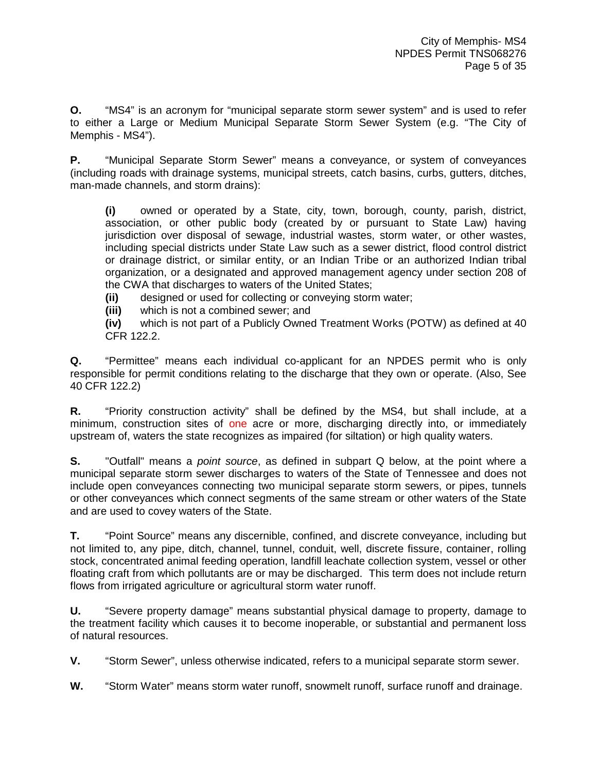**O.** "MS4" is an acronym for "municipal separate storm sewer system" and is used to refer to either a Large or Medium Municipal Separate Storm Sewer System (e.g. "The City of Memphis - MS4").

**P.** "Municipal Separate Storm Sewer" means a conveyance, or system of conveyances (including roads with drainage systems, municipal streets, catch basins, curbs, gutters, ditches, man-made channels, and storm drains):

**(i)** owned or operated by a State, city, town, borough, county, parish, district, association, or other public body (created by or pursuant to State Law) having jurisdiction over disposal of sewage, industrial wastes, storm water, or other wastes, including special districts under State Law such as a sewer district, flood control district or drainage district, or similar entity, or an Indian Tribe or an authorized Indian tribal organization, or a designated and approved management agency under section 208 of the CWA that discharges to waters of the United States;

**(ii)** designed or used for collecting or conveying storm water;

**(iii)** which is not a combined sewer; and

**(iv)** which is not part of a Publicly Owned Treatment Works (POTW) as defined at 40 CFR 122.2.

**Q.** "Permittee" means each individual co-applicant for an NPDES permit who is only responsible for permit conditions relating to the discharge that they own or operate. (Also, See 40 CFR 122.2)

**R.** "Priority construction activity" shall be defined by the MS4, but shall include, at a minimum, construction sites of one acre or more, discharging directly into, or immediately upstream of, waters the state recognizes as impaired (for siltation) or high quality waters.

**S.** "Outfall" means a *point source*, as defined in subpart Q below, at the point where a municipal separate storm sewer discharges to waters of the State of Tennessee and does not include open conveyances connecting two municipal separate storm sewers, or pipes, tunnels or other conveyances which connect segments of the same stream or other waters of the State and are used to covey waters of the State.

**T.** "Point Source" means any discernible, confined, and discrete conveyance, including but not limited to, any pipe, ditch, channel, tunnel, conduit, well, discrete fissure, container, rolling stock, concentrated animal feeding operation, landfill leachate collection system, vessel or other floating craft from which pollutants are or may be discharged. This term does not include return flows from irrigated agriculture or agricultural storm water runoff.

**U.** "Severe property damage" means substantial physical damage to property, damage to the treatment facility which causes it to become inoperable, or substantial and permanent loss of natural resources.

**V.** "Storm Sewer", unless otherwise indicated, refers to a municipal separate storm sewer.

**W.** "Storm Water" means storm water runoff, snowmelt runoff, surface runoff and drainage.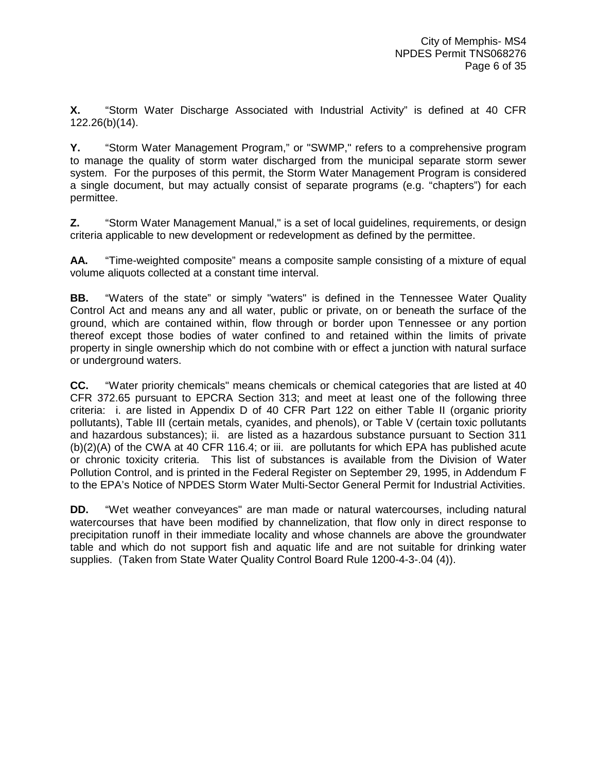**X.** "Storm Water Discharge Associated with Industrial Activity" is defined at 40 CFR 122.26(b)(14).

**Y.** "Storm Water Management Program," or "SWMP," refers to a comprehensive program to manage the quality of storm water discharged from the municipal separate storm sewer system. For the purposes of this permit, the Storm Water Management Program is considered a single document, but may actually consist of separate programs (e.g. "chapters") for each permittee.

**Z.** "Storm Water Management Manual," is a set of local guidelines, requirements, or design criteria applicable to new development or redevelopment as defined by the permittee.

**AA.** "Time-weighted composite" means a composite sample consisting of a mixture of equal volume aliquots collected at a constant time interval.

**BB.** "Waters of the state" or simply "waters" is defined in the Tennessee Water Quality Control Act and means any and all water, public or private, on or beneath the surface of the ground, which are contained within, flow through or border upon Tennessee or any portion thereof except those bodies of water confined to and retained within the limits of private property in single ownership which do not combine with or effect a junction with natural surface or underground waters.

**CC.** "Water priority chemicals" means chemicals or chemical categories that are listed at 40 CFR 372.65 pursuant to EPCRA Section 313; and meet at least one of the following three criteria: i. are listed in Appendix D of 40 CFR Part 122 on either Table II (organic priority pollutants), Table III (certain metals, cyanides, and phenols), or Table V (certain toxic pollutants and hazardous substances); ii. are listed as a hazardous substance pursuant to Section 311 (b)(2)(A) of the CWA at 40 CFR 116.4; or iii. are pollutants for which EPA has published acute or chronic toxicity criteria. This list of substances is available from the Division of Water Pollution Control, and is printed in the Federal Register on September 29, 1995, in Addendum F to the EPA's Notice of NPDES Storm Water Multi-Sector General Permit for Industrial Activities.

**DD.** "Wet weather conveyances" are man made or natural watercourses, including natural watercourses that have been modified by channelization, that flow only in direct response to precipitation runoff in their immediate locality and whose channels are above the groundwater table and which do not support fish and aquatic life and are not suitable for drinking water supplies. (Taken from State Water Quality Control Board Rule 1200-4-3-.04 (4)).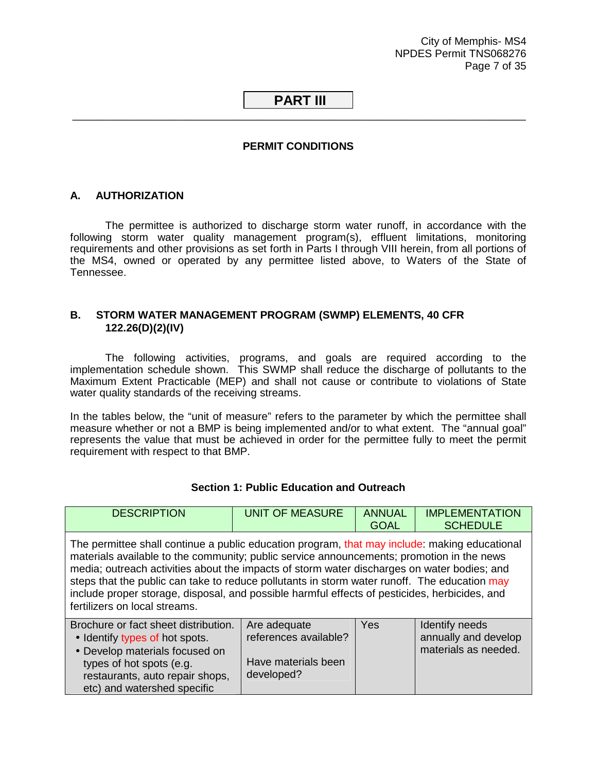City of Memphis- MS4 NPDES Permit TNS068276 Page 7 of 35

## <span id="page-11-0"></span> **PART III**  \_\_\_\_\_\_\_\_\_\_\_\_\_\_\_\_\_\_\_\_\_\_\_\_\_\_\_\_\_\_\_\_\_\_\_\_\_\_\_\_\_\_\_\_\_\_\_\_\_\_\_\_\_\_\_\_\_\_\_\_\_\_\_\_\_\_\_\_\_\_\_\_\_\_\_\_

## **PERMIT CONDITIONS**

#### **A. AUTHORIZATION**

 The permittee is authorized to discharge storm water runoff, in accordance with the following storm water quality management program(s), effluent limitations, monitoring requirements and other provisions as set forth in Parts I through VIII herein, from all portions of the MS4, owned or operated by any permittee listed above, to Waters of the State of Tennessee.

## **B. STORM WATER MANAGEMENT PROGRAM (SWMP) ELEMENTS, 40 CFR 122.26(D)(2)(IV)**

 The following activities, programs, and goals are required according to the implementation schedule shown. This SWMP shall reduce the discharge of pollutants to the Maximum Extent Practicable (MEP) and shall not cause or contribute to violations of State water quality standards of the receiving streams.

In the tables below, the "unit of measure" refers to the parameter by which the permittee shall measure whether or not a BMP is being implemented and/or to what extent. The "annual goal" represents the value that must be achieved in order for the permittee fully to meet the permit requirement with respect to that BMP.

| <b>DESCRIPTION</b>                                                                                                                                                                                                                                                                                                                                                                                                                                                                                                          | <b>UNIT OF MEASURE</b>                                                     | <b>ANNUAL</b><br><b>GOAL</b> | <b>IMPLEMENTATION</b><br><b>SCHEDULE</b>                       |
|-----------------------------------------------------------------------------------------------------------------------------------------------------------------------------------------------------------------------------------------------------------------------------------------------------------------------------------------------------------------------------------------------------------------------------------------------------------------------------------------------------------------------------|----------------------------------------------------------------------------|------------------------------|----------------------------------------------------------------|
| The permittee shall continue a public education program, that may include: making educational<br>materials available to the community; public service announcements; promotion in the news<br>media; outreach activities about the impacts of storm water discharges on water bodies; and<br>steps that the public can take to reduce pollutants in storm water runoff. The education may<br>include proper storage, disposal, and possible harmful effects of pesticides, herbicides, and<br>fertilizers on local streams. |                                                                            |                              |                                                                |
| Brochure or fact sheet distribution.<br>• Identify types of hot spots.<br>• Develop materials focused on<br>types of hot spots (e.g.<br>restaurants, auto repair shops,<br>etc) and watershed specific                                                                                                                                                                                                                                                                                                                      | Are adequate<br>references available?<br>Have materials been<br>developed? | <b>Yes</b>                   | Identify needs<br>annually and develop<br>materials as needed. |

#### **Section 1: Public Education and Outreach**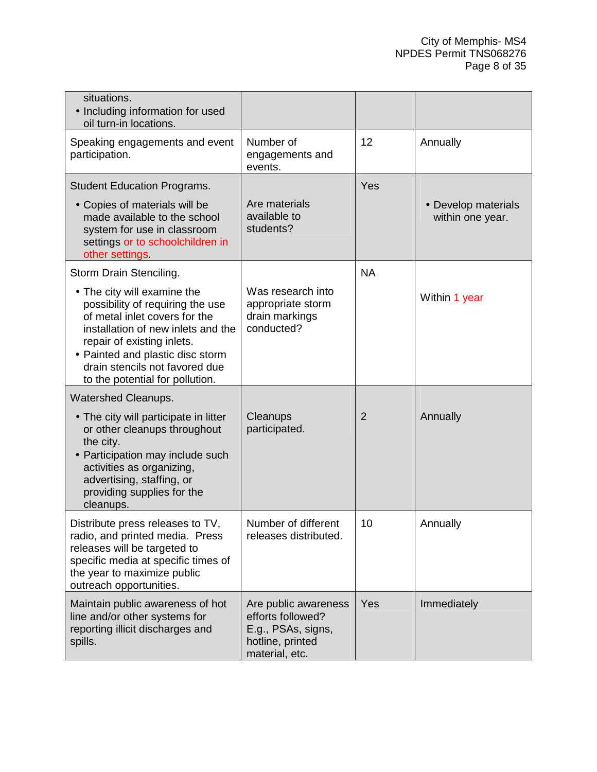| situations.<br>• Including information for used<br>oil turn-in locations.                                                                                                                                                                                                     |                                                                                                       |                |                                         |
|-------------------------------------------------------------------------------------------------------------------------------------------------------------------------------------------------------------------------------------------------------------------------------|-------------------------------------------------------------------------------------------------------|----------------|-----------------------------------------|
| Speaking engagements and event<br>participation.                                                                                                                                                                                                                              | Number of<br>engagements and<br>events.                                                               | 12             | Annually                                |
| <b>Student Education Programs.</b>                                                                                                                                                                                                                                            |                                                                                                       | Yes            |                                         |
| • Copies of materials will be<br>made available to the school<br>system for use in classroom<br>settings or to schoolchildren in<br>other settings.                                                                                                                           | Are materials<br>available to<br>students?                                                            |                | • Develop materials<br>within one year. |
| Storm Drain Stenciling.                                                                                                                                                                                                                                                       |                                                                                                       | <b>NA</b>      |                                         |
| • The city will examine the<br>possibility of requiring the use<br>of metal inlet covers for the<br>installation of new inlets and the<br>repair of existing inlets.<br>• Painted and plastic disc storm<br>drain stencils not favored due<br>to the potential for pollution. | Was research into<br>appropriate storm<br>drain markings<br>conducted?                                |                | Within 1 year                           |
| <b>Watershed Cleanups.</b>                                                                                                                                                                                                                                                    |                                                                                                       |                |                                         |
| • The city will participate in litter<br>or other cleanups throughout<br>the city.<br>• Participation may include such<br>activities as organizing,<br>advertising, staffing, or<br>providing supplies for the<br>cleanups.                                                   | Cleanups<br>participated.                                                                             | $\overline{2}$ | Annually                                |
| Distribute press releases to TV,<br>radio, and printed media. Press<br>releases will be targeted to<br>specific media at specific times of<br>the year to maximize public<br>outreach opportunities.                                                                          | Number of different<br>releases distributed.                                                          | 10             | Annually                                |
| Maintain public awareness of hot<br>line and/or other systems for<br>reporting illicit discharges and<br>spills.                                                                                                                                                              | Are public awareness<br>efforts followed?<br>E.g., PSAs, signs,<br>hotline, printed<br>material, etc. | Yes            | Immediately                             |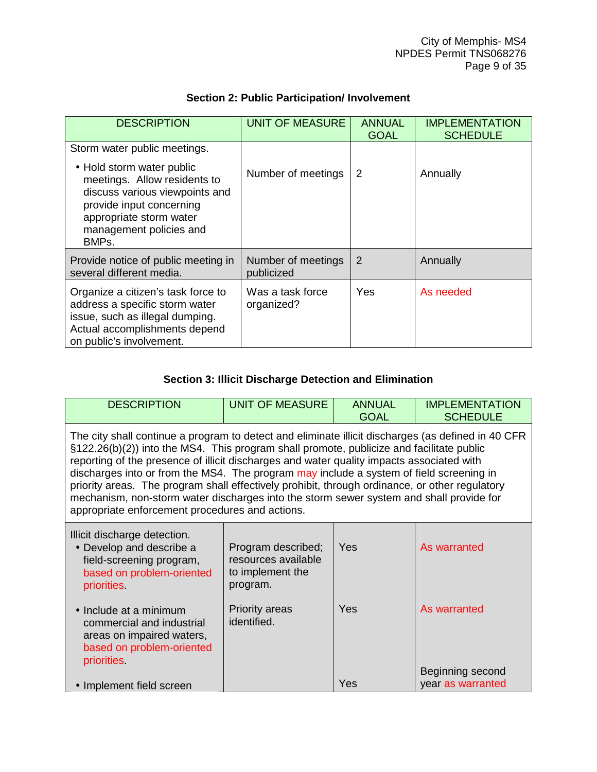| <b>DESCRIPTION</b>                                                                                                                                                                     | <b>UNIT OF MEASURE</b>           | <b>ANNUAL</b><br><b>GOAL</b> | <b>IMPLEMENTATION</b><br><b>SCHEDULE</b> |
|----------------------------------------------------------------------------------------------------------------------------------------------------------------------------------------|----------------------------------|------------------------------|------------------------------------------|
| Storm water public meetings.                                                                                                                                                           |                                  |                              |                                          |
| • Hold storm water public<br>meetings. Allow residents to<br>discuss various viewpoints and<br>provide input concerning<br>appropriate storm water<br>management policies and<br>BMPs. | Number of meetings               | 2                            | Annually                                 |
| Provide notice of public meeting in<br>several different media.                                                                                                                        | Number of meetings<br>publicized | 2                            | Annually                                 |
| Organize a citizen's task force to<br>address a specific storm water<br>issue, such as illegal dumping.<br>Actual accomplishments depend<br>on public's involvement.                   | Was a task force<br>organized?   | <b>Yes</b>                   | As needed                                |

## **Section 2: Public Participation/ Involvement**

## **Section 3: Illicit Discharge Detection and Elimination**

| <b>DESCRIPTION</b>                                                                                                                                                                                                                                                                                                                                                                                                                                                                                                                                                                                                                     | <b>UNIT OF MEASURE</b>                                                    | <b>ANNUAL</b><br><b>GOAL</b> | <b>IMPLEMENTATION</b><br><b>SCHEDULE</b> |
|----------------------------------------------------------------------------------------------------------------------------------------------------------------------------------------------------------------------------------------------------------------------------------------------------------------------------------------------------------------------------------------------------------------------------------------------------------------------------------------------------------------------------------------------------------------------------------------------------------------------------------------|---------------------------------------------------------------------------|------------------------------|------------------------------------------|
| The city shall continue a program to detect and eliminate illicit discharges (as defined in 40 CFR<br>§122.26(b)(2)) into the MS4. This program shall promote, publicize and facilitate public<br>reporting of the presence of illicit discharges and water quality impacts associated with<br>discharges into or from the MS4. The program may include a system of field screening in<br>priority areas. The program shall effectively prohibit, through ordinance, or other regulatory<br>mechanism, non-storm water discharges into the storm sewer system and shall provide for<br>appropriate enforcement procedures and actions. |                                                                           |                              |                                          |
| Illicit discharge detection.<br>• Develop and describe a<br>field-screening program,<br>based on problem-oriented<br>priorities                                                                                                                                                                                                                                                                                                                                                                                                                                                                                                        | Program described;<br>resources available<br>to implement the<br>program. | Yes                          | As warranted                             |
| • Include at a minimum<br>commercial and industrial<br>areas on impaired waters,<br>based on problem-oriented<br>priorities.                                                                                                                                                                                                                                                                                                                                                                                                                                                                                                           | <b>Priority areas</b><br>identified.                                      | Yes                          | As warranted                             |
| • Implement field screen                                                                                                                                                                                                                                                                                                                                                                                                                                                                                                                                                                                                               |                                                                           | Yes                          | Beginning second<br>year as warranted    |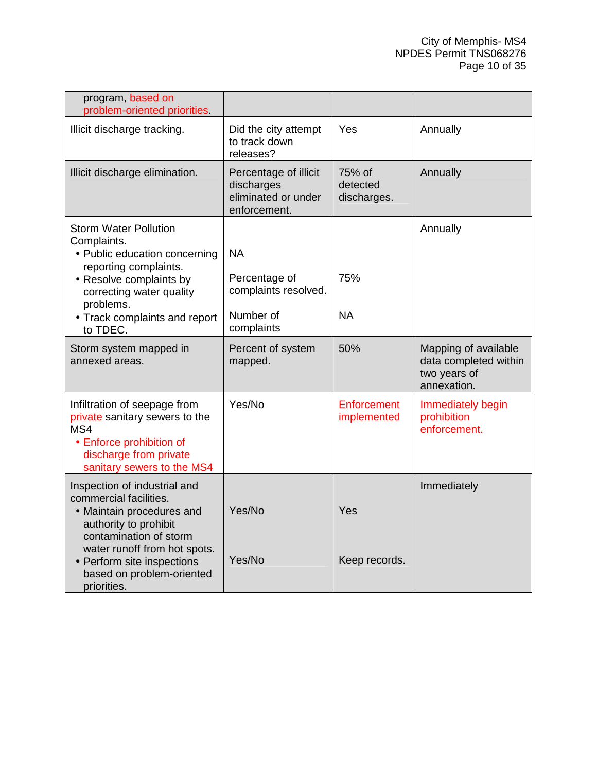| program, based on<br>problem-oriented priorities.                                                                                                         |                                                                            |                                   |                                                                              |
|-----------------------------------------------------------------------------------------------------------------------------------------------------------|----------------------------------------------------------------------------|-----------------------------------|------------------------------------------------------------------------------|
| Illicit discharge tracking.                                                                                                                               | Did the city attempt<br>to track down<br>releases?                         | Yes                               | Annually                                                                     |
| Illicit discharge elimination.                                                                                                                            | Percentage of illicit<br>discharges<br>eliminated or under<br>enforcement. | 75% of<br>detected<br>discharges. | Annually                                                                     |
| <b>Storm Water Pollution</b><br>Complaints.<br>• Public education concerning                                                                              | <b>NA</b>                                                                  |                                   | Annually                                                                     |
| reporting complaints.<br>• Resolve complaints by<br>correcting water quality<br>problems.                                                                 | Percentage of<br>complaints resolved.                                      | 75%                               |                                                                              |
| • Track complaints and report<br>to TDEC.                                                                                                                 | Number of<br>complaints                                                    | <b>NA</b>                         |                                                                              |
| Storm system mapped in<br>annexed areas.                                                                                                                  | Percent of system<br>mapped.                                               | 50%                               | Mapping of available<br>data completed within<br>two years of<br>annexation. |
| Infiltration of seepage from<br>private sanitary sewers to the<br>MS4<br>• Enforce prohibition of<br>discharge from private<br>sanitary sewers to the MS4 | Yes/No                                                                     | Enforcement<br>implemented        | Immediately begin<br>prohibition<br>enforcement.                             |
| Inspection of industrial and<br>commercial facilities.<br>• Maintain procedures and<br>authority to prohibit<br>contamination of storm                    | Yes/No                                                                     | Yes                               | Immediately                                                                  |
| water runoff from hot spots.<br>• Perform site inspections<br>based on problem-oriented<br>priorities.                                                    | Yes/No                                                                     | Keep records.                     |                                                                              |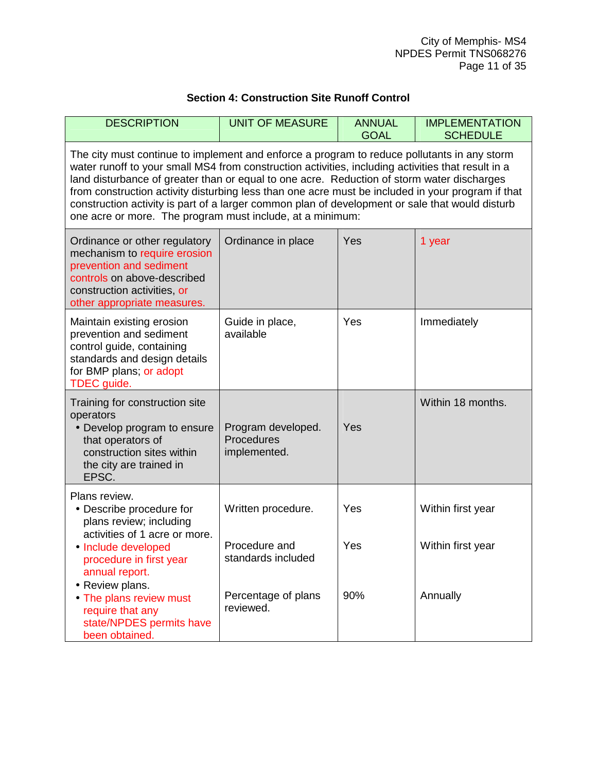## **Section 4: Construction Site Runoff Control**

| <b>DESCRIPTION</b>                                                                                                                                                                                                                                                                                                                                                                                                                                                                                                                                                   | <b>UNIT OF MEASURE</b>                                    | <b>ANNUAL</b><br><b>GOAL</b> | <b>IMPLEMENTATION</b><br><b>SCHEDULE</b> |
|----------------------------------------------------------------------------------------------------------------------------------------------------------------------------------------------------------------------------------------------------------------------------------------------------------------------------------------------------------------------------------------------------------------------------------------------------------------------------------------------------------------------------------------------------------------------|-----------------------------------------------------------|------------------------------|------------------------------------------|
| The city must continue to implement and enforce a program to reduce pollutants in any storm<br>water runoff to your small MS4 from construction activities, including activities that result in a<br>land disturbance of greater than or equal to one acre. Reduction of storm water discharges<br>from construction activity disturbing less than one acre must be included in your program if that<br>construction activity is part of a larger common plan of development or sale that would disturb<br>one acre or more. The program must include, at a minimum: |                                                           |                              |                                          |
| Ordinance or other regulatory<br>mechanism to require erosion<br>prevention and sediment<br>controls on above-described<br>construction activities, or<br>other appropriate measures.                                                                                                                                                                                                                                                                                                                                                                                | Ordinance in place                                        | Yes                          | 1 year                                   |
| Maintain existing erosion<br>prevention and sediment<br>control guide, containing<br>standards and design details<br>for BMP plans; or adopt<br>TDEC guide.                                                                                                                                                                                                                                                                                                                                                                                                          | Guide in place,<br>available                              | Yes                          | Immediately                              |
| Training for construction site<br>operators<br>• Develop program to ensure<br>that operators of<br>construction sites within<br>the city are trained in<br>EPSC.                                                                                                                                                                                                                                                                                                                                                                                                     | Program developed.<br>Procedures<br>implemented.          | Yes                          | Within 18 months.                        |
| Plans review.<br>• Describe procedure for<br>plans review; including<br>activities of 1 acre or more.<br>• Include developed<br>procedure in first year<br>annual report.                                                                                                                                                                                                                                                                                                                                                                                            | Written procedure.<br>Procedure and<br>standards included | Yes<br>Yes                   | Within first year<br>Within first year   |
| • Review plans.<br>• The plans review must<br>require that any<br>state/NPDES permits have<br>been obtained.                                                                                                                                                                                                                                                                                                                                                                                                                                                         | Percentage of plans<br>reviewed.                          | 90%                          | Annually                                 |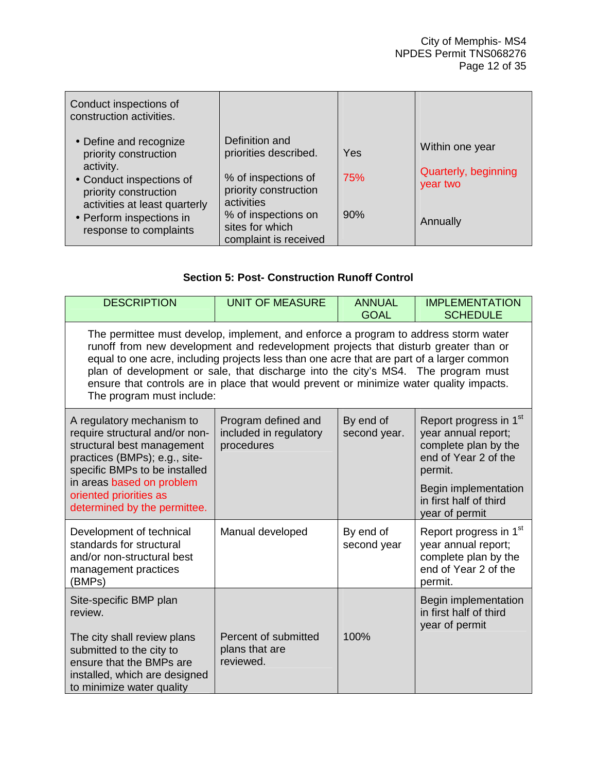| Conduct inspections of<br>construction activities.                                  |                                                                               |     |                                  |
|-------------------------------------------------------------------------------------|-------------------------------------------------------------------------------|-----|----------------------------------|
| • Define and recognize<br>priority construction                                     | Definition and<br>priorities described.                                       | Yes | Within one year                  |
| activity.<br>• Conduct inspections of<br>priority construction                      | % of inspections of<br>priority construction                                  | 75% | Quarterly, beginning<br>year two |
| activities at least quarterly<br>• Perform inspections in<br>response to complaints | activities<br>% of inspections on<br>sites for which<br>complaint is received | 90% | Annually                         |

## **Section 5: Post- Construction Runoff Control**

| <b>DESCRIPTION</b>                                                                                                                                                                                                                                                                                                                                                                                                                                                                   | <b>UNIT OF MEASURE</b>                                      | <b>ANNUAL</b><br><b>GOAL</b> | <b>IMPLEMENTATION</b><br><b>SCHEDULE</b>                                                                                                                                     |
|--------------------------------------------------------------------------------------------------------------------------------------------------------------------------------------------------------------------------------------------------------------------------------------------------------------------------------------------------------------------------------------------------------------------------------------------------------------------------------------|-------------------------------------------------------------|------------------------------|------------------------------------------------------------------------------------------------------------------------------------------------------------------------------|
| The permittee must develop, implement, and enforce a program to address storm water<br>runoff from new development and redevelopment projects that disturb greater than or<br>equal to one acre, including projects less than one acre that are part of a larger common<br>plan of development or sale, that discharge into the city's MS4. The program must<br>ensure that controls are in place that would prevent or minimize water quality impacts.<br>The program must include: |                                                             |                              |                                                                                                                                                                              |
| A regulatory mechanism to<br>require structural and/or non-<br>structural best management<br>practices (BMPs); e.g., site-<br>specific BMPs to be installed<br>in areas based on problem<br>oriented priorities as<br>determined by the permittee.                                                                                                                                                                                                                                   | Program defined and<br>included in regulatory<br>procedures | By end of<br>second year.    | Report progress in 1st<br>year annual report;<br>complete plan by the<br>end of Year 2 of the<br>permit.<br>Begin implementation<br>in first half of third<br>year of permit |
| Development of technical<br>standards for structural<br>and/or non-structural best<br>management practices<br>(BMPs)                                                                                                                                                                                                                                                                                                                                                                 | Manual developed                                            | By end of<br>second year     | Report progress in 1 <sup>st</sup><br>year annual report;<br>complete plan by the<br>end of Year 2 of the<br>permit.                                                         |
| Site-specific BMP plan<br>review.<br>The city shall review plans<br>submitted to the city to<br>ensure that the BMPs are<br>installed, which are designed<br>to minimize water quality                                                                                                                                                                                                                                                                                               | Percent of submitted<br>plans that are<br>reviewed.         | 100%                         | Begin implementation<br>in first half of third<br>year of permit                                                                                                             |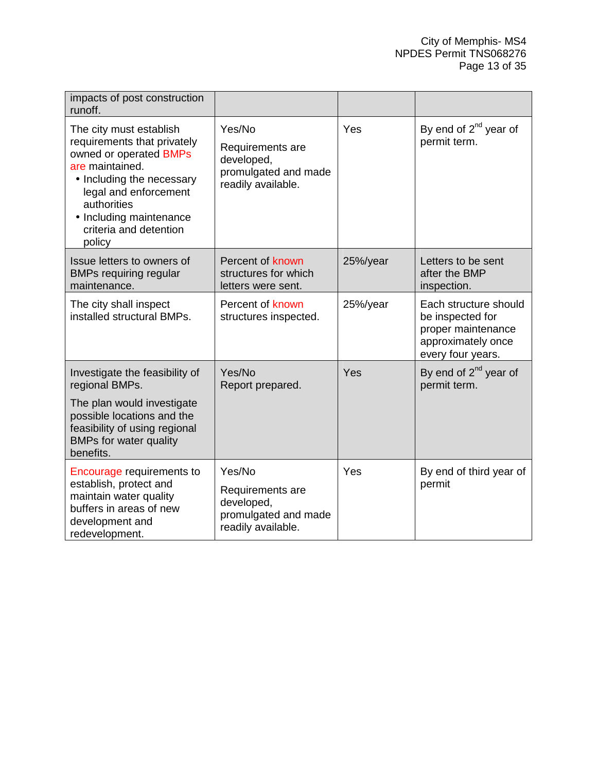| impacts of post construction<br>runoff.                                                                                                                                                                                                 |                                                                                        |          |                                                                                                            |
|-----------------------------------------------------------------------------------------------------------------------------------------------------------------------------------------------------------------------------------------|----------------------------------------------------------------------------------------|----------|------------------------------------------------------------------------------------------------------------|
| The city must establish<br>requirements that privately<br>owned or operated BMPs<br>are maintained.<br>• Including the necessary<br>legal and enforcement<br>authorities<br>• Including maintenance<br>criteria and detention<br>policy | Yes/No<br>Requirements are<br>developed,<br>promulgated and made<br>readily available. | Yes      | By end of 2 <sup>nd</sup> year of<br>permit term.                                                          |
| Issue letters to owners of<br><b>BMPs requiring regular</b><br>maintenance.                                                                                                                                                             | Percent of known<br>structures for which<br>letters were sent.                         | 25%/year | Letters to be sent<br>after the BMP<br>inspection.                                                         |
| The city shall inspect<br>installed structural BMPs.                                                                                                                                                                                    | Percent of known<br>structures inspected.                                              | 25%/year | Each structure should<br>be inspected for<br>proper maintenance<br>approximately once<br>every four years. |
| Investigate the feasibility of<br>regional BMPs.                                                                                                                                                                                        | Yes/No<br>Report prepared.                                                             | Yes      | By end of $2^{nd}$ year of<br>permit term.                                                                 |
| The plan would investigate<br>possible locations and the<br>feasibility of using regional<br><b>BMPs for water quality</b><br>benefits.                                                                                                 |                                                                                        |          |                                                                                                            |
| <b>Encourage requirements to</b><br>establish, protect and<br>maintain water quality<br>buffers in areas of new<br>development and<br>redevelopment.                                                                                    | Yes/No<br>Requirements are<br>developed,<br>promulgated and made<br>readily available. | Yes      | By end of third year of<br>permit                                                                          |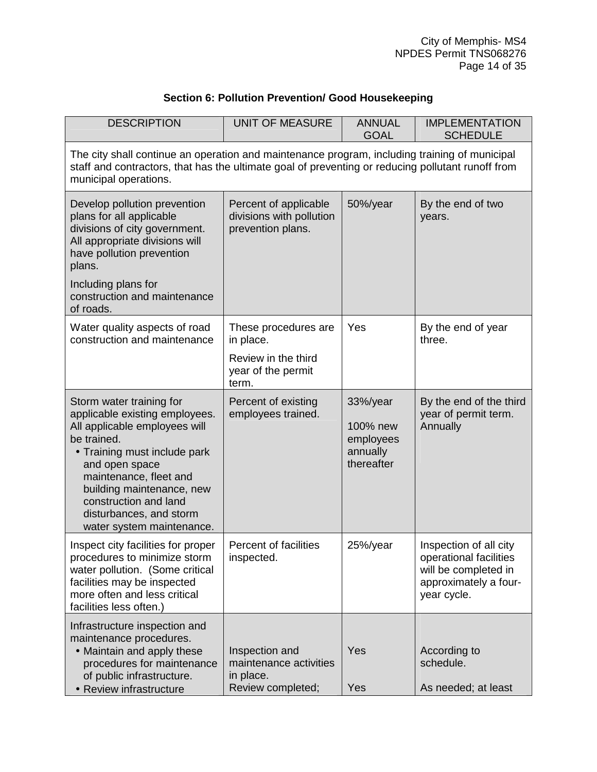## **Section 6: Pollution Prevention/ Good Housekeeping**

<span id="page-18-0"></span>

| <b>DESCRIPTION</b>                                                                                                                                                                                                                                                                                   | <b>UNIT OF MEASURE</b>                                                     | <b>ANNUAL</b><br><b>GOAL</b>                                | <b>IMPLEMENTATION</b><br><b>SCHEDULE</b>                                                                         |
|------------------------------------------------------------------------------------------------------------------------------------------------------------------------------------------------------------------------------------------------------------------------------------------------------|----------------------------------------------------------------------------|-------------------------------------------------------------|------------------------------------------------------------------------------------------------------------------|
| The city shall continue an operation and maintenance program, including training of municipal<br>staff and contractors, that has the ultimate goal of preventing or reducing pollutant runoff from<br>municipal operations.                                                                          |                                                                            |                                                             |                                                                                                                  |
| Develop pollution prevention<br>plans for all applicable<br>divisions of city government.<br>All appropriate divisions will<br>have pollution prevention<br>plans.                                                                                                                                   | Percent of applicable<br>divisions with pollution<br>prevention plans.     | 50%/year                                                    | By the end of two<br>years.                                                                                      |
| Including plans for<br>construction and maintenance<br>of roads.                                                                                                                                                                                                                                     |                                                                            |                                                             |                                                                                                                  |
| Water quality aspects of road<br>construction and maintenance                                                                                                                                                                                                                                        | These procedures are<br>in place.                                          | Yes                                                         | By the end of year<br>three.                                                                                     |
|                                                                                                                                                                                                                                                                                                      | Review in the third<br>year of the permit<br>term.                         |                                                             |                                                                                                                  |
| Storm water training for<br>applicable existing employees.<br>All applicable employees will<br>be trained.<br>• Training must include park<br>and open space<br>maintenance, fleet and<br>building maintenance, new<br>construction and land<br>disturbances, and storm<br>water system maintenance. | Percent of existing<br>employees trained.                                  | 33%/year<br>100% new<br>employees<br>annually<br>thereafter | By the end of the third<br>year of permit term.<br>Annually                                                      |
| Inspect city facilities for proper<br>procedures to minimize storm<br>water pollution. (Some critical<br>facilities may be inspected<br>more often and less critical<br>facilities less often.)                                                                                                      | Percent of facilities<br>inspected.                                        | 25%/year                                                    | Inspection of all city<br>operational facilities<br>will be completed in<br>approximately a four-<br>year cycle. |
| Infrastructure inspection and<br>maintenance procedures.<br>• Maintain and apply these<br>procedures for maintenance<br>of public infrastructure.<br>• Review infrastructure                                                                                                                         | Inspection and<br>maintenance activities<br>in place.<br>Review completed; | Yes<br>Yes                                                  | According to<br>schedule.<br>As needed; at least                                                                 |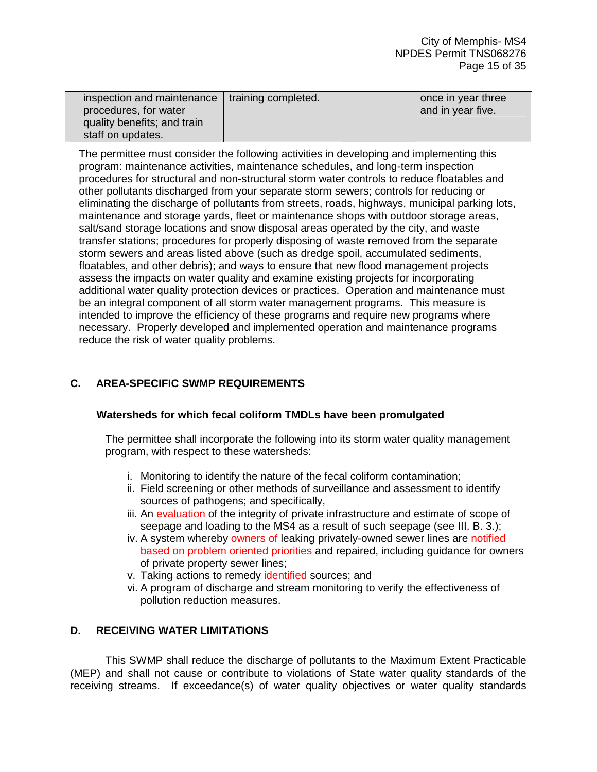| inspection and maintenance   training completed. |  | once in year three |
|--------------------------------------------------|--|--------------------|
| procedures, for water                            |  | and in year five.  |
| quality benefits; and train                      |  |                    |
| staff on updates.                                |  |                    |

The permittee must consider the following activities in developing and implementing this program: maintenance activities, maintenance schedules, and long-term inspection procedures for structural and non-structural storm water controls to reduce floatables and other pollutants discharged from your separate storm sewers; controls for reducing or eliminating the discharge of pollutants from streets, roads, highways, municipal parking lots, maintenance and storage yards, fleet or maintenance shops with outdoor storage areas, salt/sand storage locations and snow disposal areas operated by the city, and waste transfer stations; procedures for properly disposing of waste removed from the separate storm sewers and areas listed above (such as dredge spoil, accumulated sediments, floatables, and other debris); and ways to ensure that new flood management projects assess the impacts on water quality and examine existing projects for incorporating additional water quality protection devices or practices. Operation and maintenance must be an integral component of all storm water management programs. This measure is intended to improve the efficiency of these programs and require new programs where necessary. Properly developed and implemented operation and maintenance programs reduce the risk of water quality problems.

## **C. AREA-SPECIFIC SWMP REQUIREMENTS**

#### **Watersheds for which fecal coliform TMDLs have been promulgated**

The permittee shall incorporate the following into its storm water quality management program, with respect to these watersheds:

- i. Monitoring to identify the nature of the fecal coliform contamination;
- ii. Field screening or other methods of surveillance and assessment to identify sources of pathogens; and specifically,
- iii. An evaluation of the integrity of private infrastructure and estimate of scope of seepage and loading to the MS4 as a result of such seepage (see III. B. 3.);
- iv. A system whereby owners of leaking privately-owned sewer lines are notified based on problem oriented priorities and repaired, including guidance for owners of private property sewer lines;
- v. Taking actions to remedy identified sources; and
- vi. A program of discharge and stream monitoring to verify the effectiveness of pollution reduction measures.

## **D. RECEIVING WATER LIMITATIONS**

 This SWMP shall reduce the discharge of pollutants to the Maximum Extent Practicable (MEP) and shall not cause or contribute to violations of State water quality standards of the receiving streams. If exceedance(s) of water quality objectives or water quality standards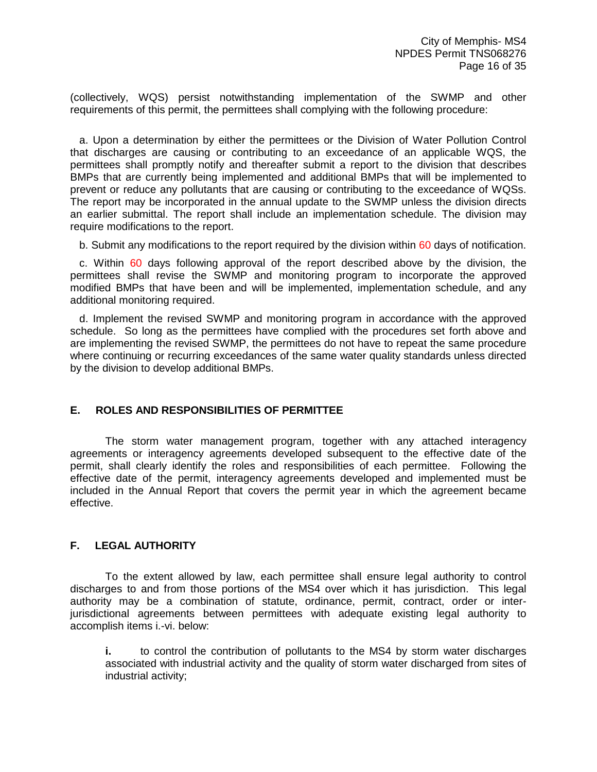<span id="page-20-0"></span>(collectively, WQS) persist notwithstanding implementation of the SWMP and other requirements of this permit, the permittees shall complying with the following procedure:

 a. Upon a determination by either the permittees or the Division of Water Pollution Control that discharges are causing or contributing to an exceedance of an applicable WQS, the permittees shall promptly notify and thereafter submit a report to the division that describes BMPs that are currently being implemented and additional BMPs that will be implemented to prevent or reduce any pollutants that are causing or contributing to the exceedance of WQSs. The report may be incorporated in the annual update to the SWMP unless the division directs an earlier submittal. The report shall include an implementation schedule. The division may require modifications to the report.

b. Submit any modifications to the report required by the division within 60 days of notification.

 c. Within 60 days following approval of the report described above by the division, the permittees shall revise the SWMP and monitoring program to incorporate the approved modified BMPs that have been and will be implemented, implementation schedule, and any additional monitoring required.

 d. Implement the revised SWMP and monitoring program in accordance with the approved schedule. So long as the permittees have complied with the procedures set forth above and are implementing the revised SWMP, the permittees do not have to repeat the same procedure where continuing or recurring exceedances of the same water quality standards unless directed by the division to develop additional BMPs.

## **E. ROLES AND RESPONSIBILITIES OF PERMITTEE**

 The storm water management program, together with any attached interagency agreements or interagency agreements developed subsequent to the effective date of the permit, shall clearly identify the roles and responsibilities of each permittee. Following the effective date of the permit, interagency agreements developed and implemented must be included in the Annual Report that covers the permit year in which the agreement became effective.

## **F. LEGAL AUTHORITY**

 To the extent allowed by law, each permittee shall ensure legal authority to control discharges to and from those portions of the MS4 over which it has jurisdiction. This legal authority may be a combination of statute, ordinance, permit, contract, order or interjurisdictional agreements between permittees with adequate existing legal authority to accomplish items i.-vi. below:

**i.** to control the contribution of pollutants to the MS4 by storm water discharges associated with industrial activity and the quality of storm water discharged from sites of industrial activity;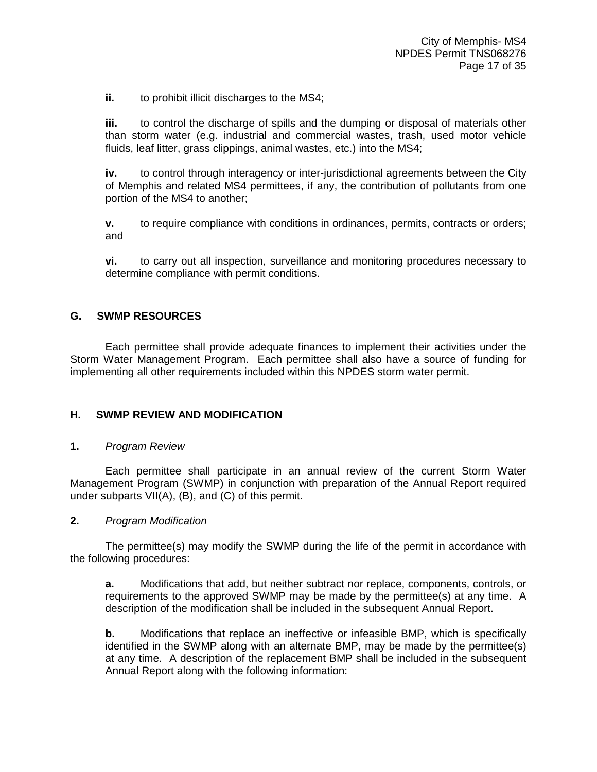<span id="page-21-0"></span>**ii.** to prohibit illicit discharges to the MS4;

**iii.** to control the discharge of spills and the dumping or disposal of materials other than storm water (e.g. industrial and commercial wastes, trash, used motor vehicle fluids, leaf litter, grass clippings, animal wastes, etc.) into the MS4;

**iv.** to control through interagency or inter-jurisdictional agreements between the City of Memphis and related MS4 permittees, if any, the contribution of pollutants from one portion of the MS4 to another;

**v.** to require compliance with conditions in ordinances, permits, contracts or orders; and

**vi.** to carry out all inspection, surveillance and monitoring procedures necessary to determine compliance with permit conditions.

## **G. SWMP RESOURCES**

 Each permittee shall provide adequate finances to implement their activities under the Storm Water Management Program. Each permittee shall also have a source of funding for implementing all other requirements included within this NPDES storm water permit.

## **H. SWMP REVIEW AND MODIFICATION**

#### **1.** *Program Review*

 Each permittee shall participate in an annual review of the current Storm Water Management Program (SWMP) in conjunction with preparation of the Annual Report required under subparts VII(A), (B), and (C) of this permit.

#### **2.** *Program Modification*

 The permittee(s) may modify the SWMP during the life of the permit in accordance with the following procedures:

**a.** Modifications that add, but neither subtract nor replace, components, controls, or requirements to the approved SWMP may be made by the permittee(s) at any time. A description of the modification shall be included in the subsequent Annual Report.

**b.** Modifications that replace an ineffective or infeasible BMP, which is specifically identified in the SWMP along with an alternate BMP, may be made by the permittee(s) at any time. A description of the replacement BMP shall be included in the subsequent Annual Report along with the following information: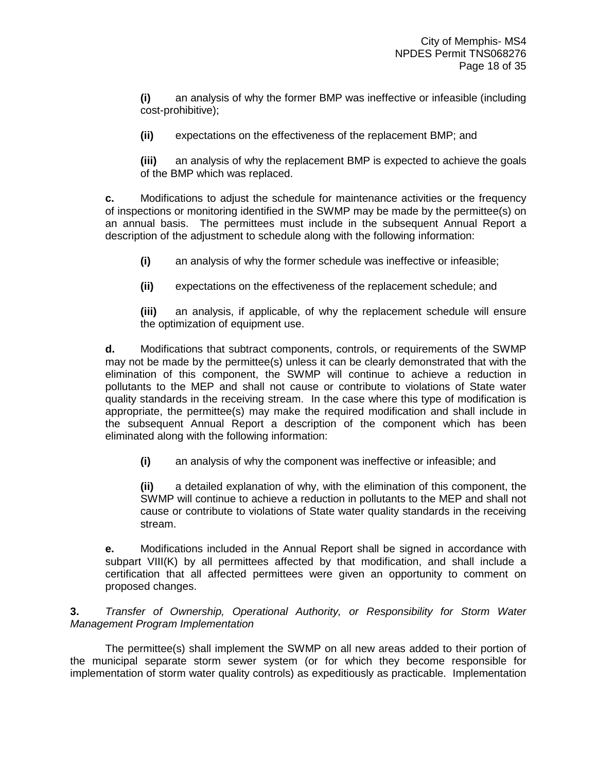**(i)** an analysis of why the former BMP was ineffective or infeasible (including cost-prohibitive);

**(ii)** expectations on the effectiveness of the replacement BMP; and

**(iii)** an analysis of why the replacement BMP is expected to achieve the goals of the BMP which was replaced.

**c.** Modifications to adjust the schedule for maintenance activities or the frequency of inspections or monitoring identified in the SWMP may be made by the permittee(s) on an annual basis. The permittees must include in the subsequent Annual Report a description of the adjustment to schedule along with the following information:

**(i)** an analysis of why the former schedule was ineffective or infeasible;

**(ii)** expectations on the effectiveness of the replacement schedule; and

**(iii)** an analysis, if applicable, of why the replacement schedule will ensure the optimization of equipment use.

**d.** Modifications that subtract components, controls, or requirements of the SWMP may not be made by the permittee(s) unless it can be clearly demonstrated that with the elimination of this component, the SWMP will continue to achieve a reduction in pollutants to the MEP and shall not cause or contribute to violations of State water quality standards in the receiving stream. In the case where this type of modification is appropriate, the permittee(s) may make the required modification and shall include in the subsequent Annual Report a description of the component which has been eliminated along with the following information:

**(i)** an analysis of why the component was ineffective or infeasible; and

**(ii)** a detailed explanation of why, with the elimination of this component, the SWMP will continue to achieve a reduction in pollutants to the MEP and shall not cause or contribute to violations of State water quality standards in the receiving stream.

**e.** Modifications included in the Annual Report shall be signed in accordance with subpart VIII(K) by all permittees affected by that modification, and shall include a certification that all affected permittees were given an opportunity to comment on proposed changes.

**3.** *Transfer of Ownership, Operational Authority, or Responsibility for Storm Water Management Program Implementation*

 The permittee(s) shall implement the SWMP on all new areas added to their portion of the municipal separate storm sewer system (or for which they become responsible for implementation of storm water quality controls) as expeditiously as practicable. Implementation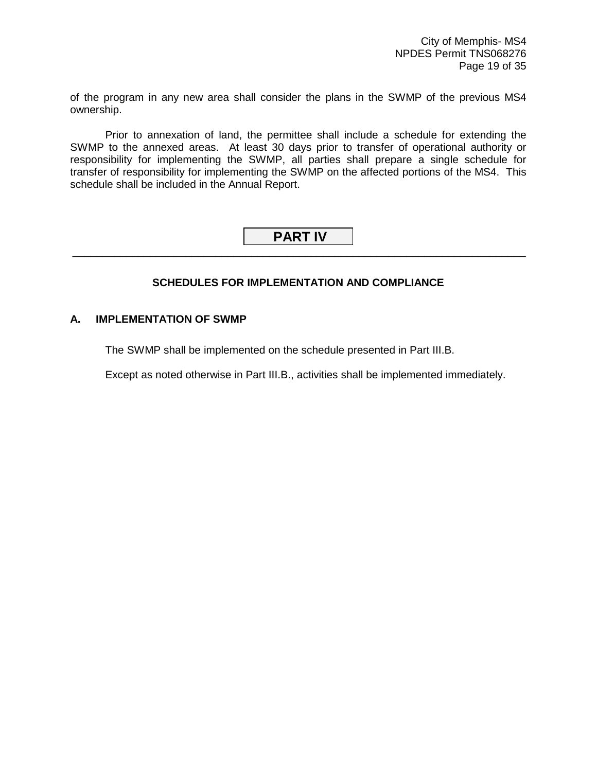<span id="page-23-0"></span>of the program in any new area shall consider the plans in the SWMP of the previous MS4 ownership.

 Prior to annexation of land, the permittee shall include a schedule for extending the SWMP to the annexed areas. At least 30 days prior to transfer of operational authority or responsibility for implementing the SWMP, all parties shall prepare a single schedule for transfer of responsibility for implementing the SWMP on the affected portions of the MS4. This schedule shall be included in the Annual Report.

## **PART IV** \_\_\_\_\_\_\_\_\_\_\_\_\_\_\_\_\_\_\_\_\_\_\_\_\_\_\_\_\_\_\_\_\_\_\_\_\_\_\_\_\_\_\_\_\_\_\_\_\_\_\_\_\_\_\_\_\_\_\_\_\_\_\_\_\_\_\_\_\_\_\_\_\_\_\_\_

## **SCHEDULES FOR IMPLEMENTATION AND COMPLIANCE**

## **A. IMPLEMENTATION OF SWMP**

The SWMP shall be implemented on the schedule presented in Part III.B.

Except as noted otherwise in Part III.B., activities shall be implemented immediately.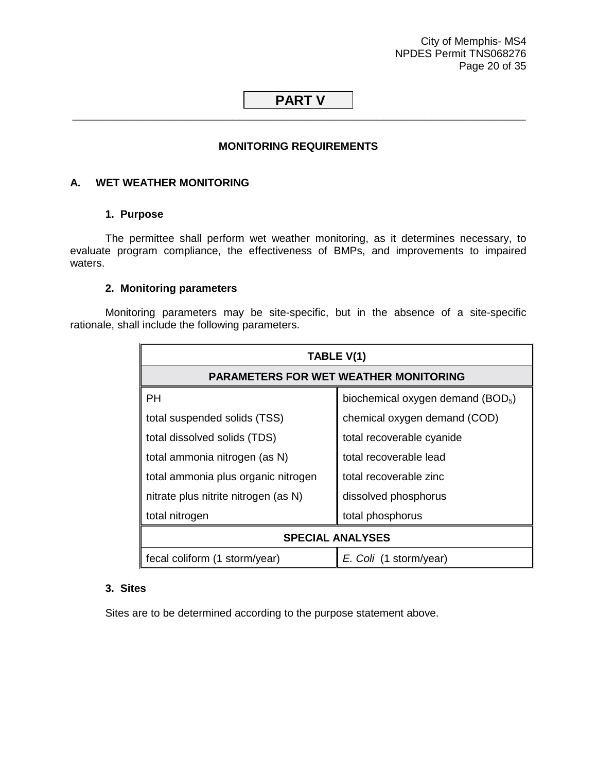City of Memphis- MS4 NPDES Permit TNS068276 Page 20 of 35

## <span id="page-24-0"></span> **PART V** \_\_\_\_\_\_\_\_\_\_\_\_\_\_\_\_\_\_\_\_\_\_\_\_\_\_\_\_\_\_\_\_\_\_\_\_\_\_\_\_\_\_\_\_\_\_\_\_\_\_\_\_\_\_\_\_\_\_\_\_\_\_\_\_\_\_\_\_\_\_\_\_\_\_\_\_

## **MONITORING REQUIREMENTS**

#### **A. WET WEATHER MONITORING**

## **1. Purpose**

The permittee shall perform wet weather monitoring, as it determines necessary, to evaluate program compliance, the effectiveness of BMPs, and improvements to impaired waters.

#### **2. Monitoring parameters**

Monitoring parameters may be site-specific, but in the absence of a site-specific rationale, shall include the following parameters.

| TABLE V(1)                                              |                                               |  |
|---------------------------------------------------------|-----------------------------------------------|--|
|                                                         | <b>PARAMETERS FOR WET WEATHER MONITORING</b>  |  |
| <b>PH</b>                                               | biochemical oxygen demand (BOD <sub>5</sub> ) |  |
| total suspended solids (TSS)                            | chemical oxygen demand (COD)                  |  |
| total dissolved solids (TDS)                            | total recoverable cyanide                     |  |
| total ammonia nitrogen (as N)                           | total recoverable lead                        |  |
| total ammonia plus organic nitrogen                     | total recoverable zinc                        |  |
| nitrate plus nitrite nitrogen (as N)                    | dissolved phosphorus                          |  |
| total phosphorus<br>total nitrogen                      |                                               |  |
| <b>SPECIAL ANALYSES</b>                                 |                                               |  |
| fecal coliform (1 storm/year)<br>E. Coli (1 storm/year) |                                               |  |

## **3. Sites**

Sites are to be determined according to the purpose statement above.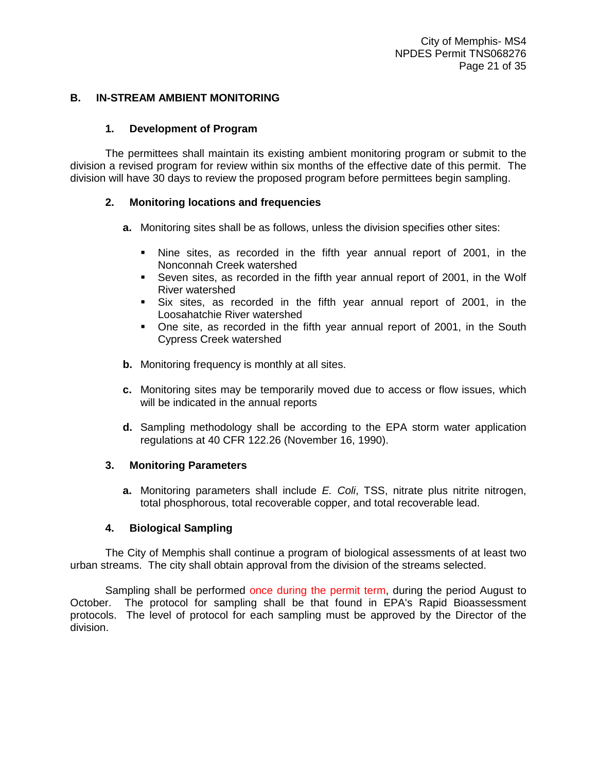## <span id="page-25-0"></span>**B. IN-STREAM AMBIENT MONITORING**

## **1. Development of Program**

The permittees shall maintain its existing ambient monitoring program or submit to the division a revised program for review within six months of the effective date of this permit. The division will have 30 days to review the proposed program before permittees begin sampling.

## **2. Monitoring locations and frequencies**

- **a.** Monitoring sites shall be as follows, unless the division specifies other sites:
	- - Nine sites, as recorded in the fifth year annual report of 2001, in the Nonconnah Creek watershed
	- **Seven sites, as recorded in the fifth year annual report of 2001, in the Wolf** River watershed
	- - Six sites, as recorded in the fifth year annual report of 2001, in the Loosahatchie River watershed
	- - One site, as recorded in the fifth year annual report of 2001, in the South Cypress Creek watershed
- **b.** Monitoring frequency is monthly at all sites.
- **c.** Monitoring sites may be temporarily moved due to access or flow issues, which will be indicated in the annual reports
- **d.** Sampling methodology shall be according to the EPA storm water application regulations at 40 CFR 122.26 (November 16, 1990).

#### **3. Monitoring Parameters**

**a.** Monitoring parameters shall include *E. Coli*, TSS, nitrate plus nitrite nitrogen, total phosphorous, total recoverable copper, and total recoverable lead.

## **4. Biological Sampling**

The City of Memphis shall continue a program of biological assessments of at least two urban streams. The city shall obtain approval from the division of the streams selected.

Sampling shall be performed once during the permit term, during the period August to October. The protocol for sampling shall be that found in EPA's Rapid Bioassessment protocols. The level of protocol for each sampling must be approved by the Director of the division.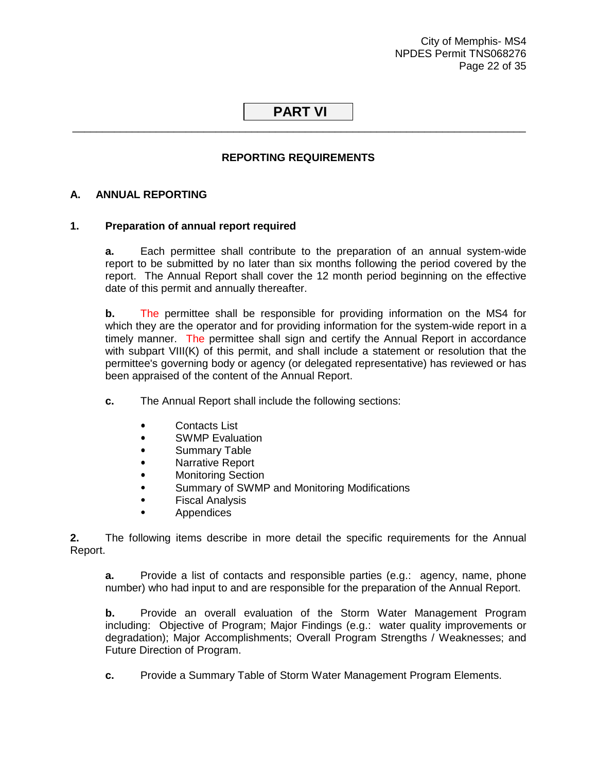City of Memphis- MS4 NPDES Permit TNS068276 Page 22 of 35

## <span id="page-26-0"></span> **PART VI** \_\_\_\_\_\_\_\_\_\_\_\_\_\_\_\_\_\_\_\_\_\_\_\_\_\_\_\_\_\_\_\_\_\_\_\_\_\_\_\_\_\_\_\_\_\_\_\_\_\_\_\_\_\_\_\_\_\_\_\_\_\_\_\_\_\_\_\_\_\_\_\_\_\_\_\_

## **REPORTING REQUIREMENTS**

## **A. ANNUAL REPORTING**

## **1. Preparation of annual report required**

**a.** Each permittee shall contribute to the preparation of an annual system-wide report to be submitted by no later than six months following the period covered by the report. The Annual Report shall cover the 12 month period beginning on the effective date of this permit and annually thereafter.

**b.** The permittee shall be responsible for providing information on the MS4 for which they are the operator and for providing information for the system-wide report in a timely manner. The permittee shall sign and certify the Annual Report in accordance with subpart VIII(K) of this permit, and shall include a statement or resolution that the permittee's governing body or agency (or delegated representative) has reviewed or has been appraised of the content of the Annual Report.

- **c.** The Annual Report shall include the following sections:
	- Contacts List
	- SWMP Evaluation
	- Summary Table
	- Narrative Report
	- Monitoring Section
	- Summary of SWMP and Monitoring Modifications
	- Fiscal Analysis
	- Appendices

**2.** The following items describe in more detail the specific requirements for the Annual Report.

**a.** Provide a list of contacts and responsible parties (e.g.: agency, name, phone number) who had input to and are responsible for the preparation of the Annual Report.

**b.** Provide an overall evaluation of the Storm Water Management Program including: Objective of Program; Major Findings (e.g.: water quality improvements or degradation); Major Accomplishments; Overall Program Strengths / Weaknesses; and Future Direction of Program.

**c.** Provide a Summary Table of Storm Water Management Program Elements.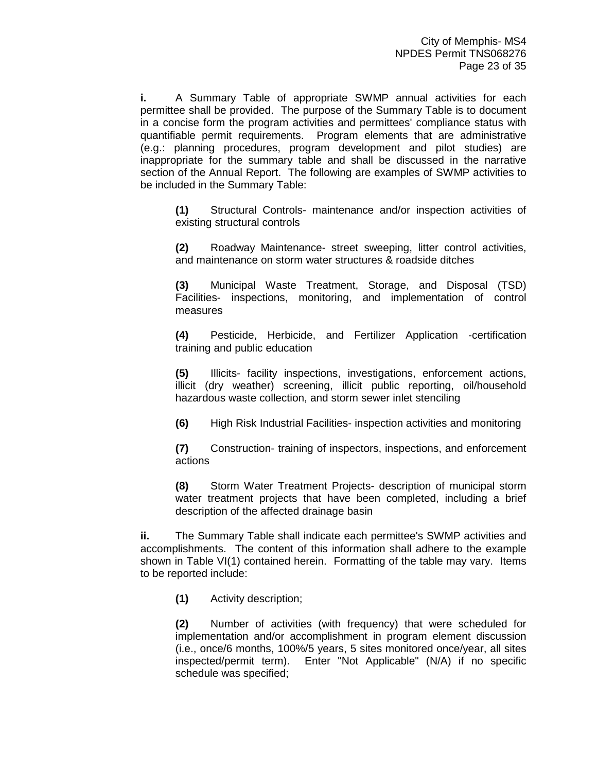**i.** A Summary Table of appropriate SWMP annual activities for each permittee shall be provided. The purpose of the Summary Table is to document in a concise form the program activities and permittees' compliance status with quantifiable permit requirements. Program elements that are administrative (e.g.: planning procedures, program development and pilot studies) are inappropriate for the summary table and shall be discussed in the narrative section of the Annual Report. The following are examples of SWMP activities to be included in the Summary Table:

**(1)** Structural Controls- maintenance and/or inspection activities of existing structural controls

**(2)** Roadway Maintenance- street sweeping, litter control activities, and maintenance on storm water structures & roadside ditches

**(3)** Municipal Waste Treatment, Storage, and Disposal (TSD) Facilities- inspections, monitoring, and implementation of control measures

**(4)** Pesticide, Herbicide, and Fertilizer Application -certification training and public education

**(5)** Illicits- facility inspections, investigations, enforcement actions, illicit (dry weather) screening, illicit public reporting, oil/household hazardous waste collection, and storm sewer inlet stenciling

**(6)** High Risk Industrial Facilities- inspection activities and monitoring

**(7)** Construction- training of inspectors, inspections, and enforcement actions

**(8)** Storm Water Treatment Projects- description of municipal storm water treatment projects that have been completed, including a brief description of the affected drainage basin

**ii.** The Summary Table shall indicate each permittee's SWMP activities and accomplishments. The content of this information shall adhere to the example shown in Table VI(1) contained herein. Formatting of the table may vary. Items to be reported include:

**(1)** Activity description;

**(2)** Number of activities (with frequency) that were scheduled for implementation and/or accomplishment in program element discussion (i.e., once/6 months, 100%/5 years, 5 sites monitored once/year, all sites inspected/permit term). Enter "Not Applicable" (N/A) if no specific schedule was specified;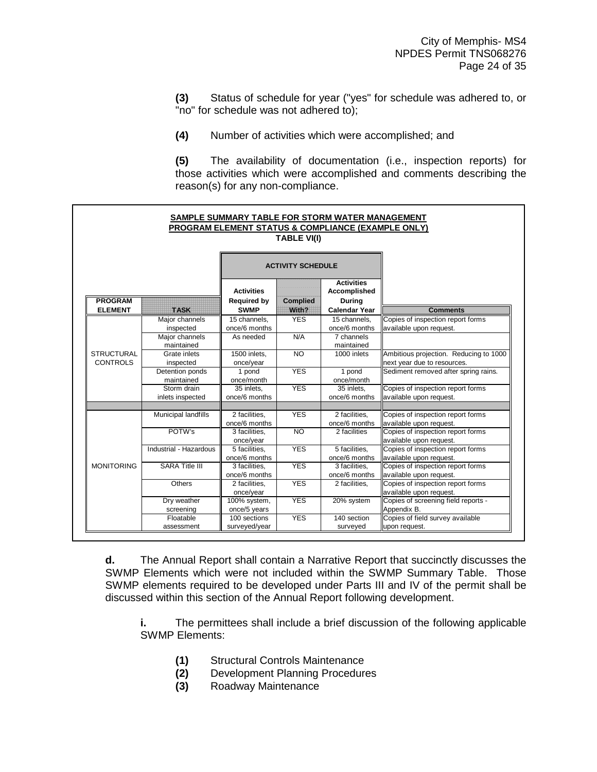**(3)** Status of schedule for year ("yes" for schedule was adhered to, or "no" for schedule was not adhered to);

**(4)** Number of activities which were accomplished; and

**(5)** The availability of documentation (i.e., inspection reports) for those activities which were accomplished and comments describing the reason(s) for any non-compliance.



**d.** The Annual Report shall contain a Narrative Report that succinctly discusses the SWMP Elements which were not included within the SWMP Summary Table. Those SWMP elements required to be developed under Parts III and IV of the permit shall be discussed within this section of the Annual Report following development.

**i.** The permittees shall include a brief discussion of the following applicable SWMP Elements:

- **(1)** Structural Controls Maintenance
- **(2)** Development Planning Procedures
- **(3)** Roadway Maintenance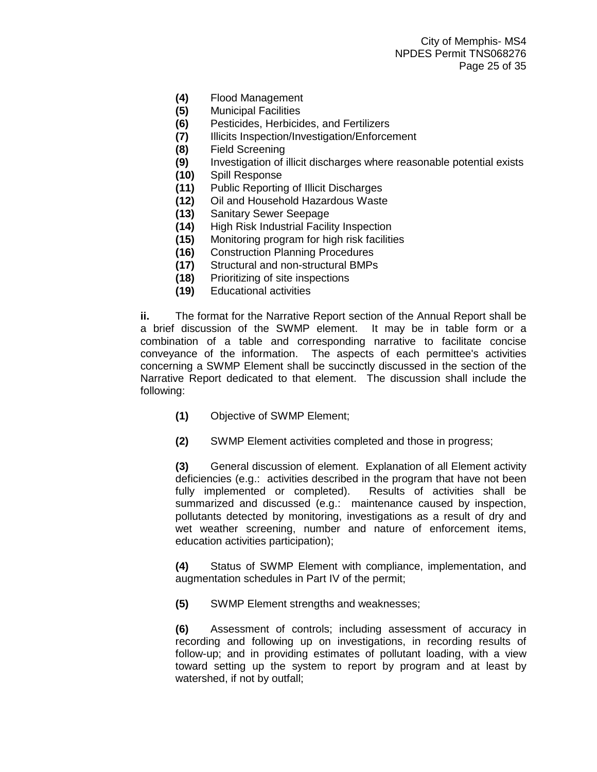- **(4)** Flood Management
- **(5)** Municipal Facilities
- **(6)** Pesticides, Herbicides, and Fertilizers
- **(7)** Illicits Inspection/Investigation/Enforcement
- **(8)** Field Screening
- **(9)** Investigation of illicit discharges where reasonable potential exists
- **(10)** Spill Response
- **(11)** Public Reporting of Illicit Discharges
- **(12)** Oil and Household Hazardous Waste
- **(13)** Sanitary Sewer Seepage
- **(14)** High Risk Industrial Facility Inspection
- **(15)** Monitoring program for high risk facilities
- **(16)** Construction Planning Procedures
- **(17)** Structural and non-structural BMPs
- **(18)** Prioritizing of site inspections
- **(19)** Educational activities

**ii.** The format for the Narrative Report section of the Annual Report shall be a brief discussion of the SWMP element. It may be in table form or a combination of a table and corresponding narrative to facilitate concise conveyance of the information. The aspects of each permittee's activities concerning a SWMP Element shall be succinctly discussed in the section of the Narrative Report dedicated to that element. The discussion shall include the following:

- **(1)** Objective of SWMP Element;
- **(2)** SWMP Element activities completed and those in progress;

**(3)** General discussion of element. Explanation of all Element activity deficiencies (e.g.: activities described in the program that have not been fully implemented or completed). Results of activities shall be summarized and discussed (e.g.: maintenance caused by inspection, pollutants detected by monitoring, investigations as a result of dry and wet weather screening, number and nature of enforcement items, education activities participation);

**(4)** Status of SWMP Element with compliance, implementation, and augmentation schedules in Part IV of the permit;

**(5)** SWMP Element strengths and weaknesses;

**(6)** Assessment of controls; including assessment of accuracy in recording and following up on investigations, in recording results of follow-up; and in providing estimates of pollutant loading, with a view toward setting up the system to report by program and at least by watershed, if not by outfall;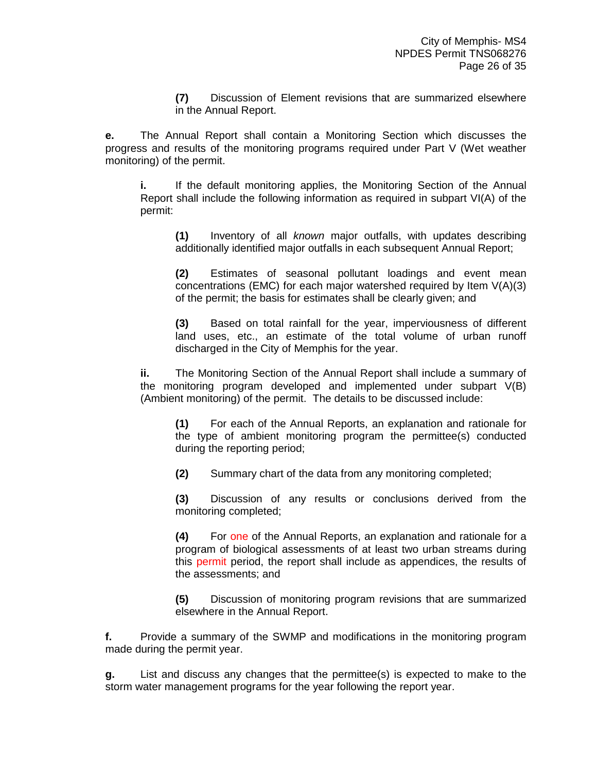**(7)** Discussion of Element revisions that are summarized elsewhere in the Annual Report.

**e.** The Annual Report shall contain a Monitoring Section which discusses the progress and results of the monitoring programs required under Part V (Wet weather monitoring) of the permit.

**i.** If the default monitoring applies, the Monitoring Section of the Annual Report shall include the following information as required in subpart VI(A) of the permit:

**(1)** Inventory of all *known* major outfalls, with updates describing additionally identified major outfalls in each subsequent Annual Report;

**(2)** Estimates of seasonal pollutant loadings and event mean concentrations (EMC) for each major watershed required by Item V(A)(3) of the permit; the basis for estimates shall be clearly given; and

**(3)** Based on total rainfall for the year, imperviousness of different land uses, etc., an estimate of the total volume of urban runoff discharged in the City of Memphis for the year.

**ii.** The Monitoring Section of the Annual Report shall include a summary of the monitoring program developed and implemented under subpart V(B) (Ambient monitoring) of the permit. The details to be discussed include:

**(1)** For each of the Annual Reports, an explanation and rationale for the type of ambient monitoring program the permittee(s) conducted during the reporting period;

**(2)** Summary chart of the data from any monitoring completed;

**(3)** Discussion of any results or conclusions derived from the monitoring completed;

**(4)** For one of the Annual Reports, an explanation and rationale for a program of biological assessments of at least two urban streams during this permit period, the report shall include as appendices, the results of the assessments; and

**(5)** Discussion of monitoring program revisions that are summarized elsewhere in the Annual Report.

**f.** Provide a summary of the SWMP and modifications in the monitoring program made during the permit year.

**g.** List and discuss any changes that the permittee(s) is expected to make to the storm water management programs for the year following the report year.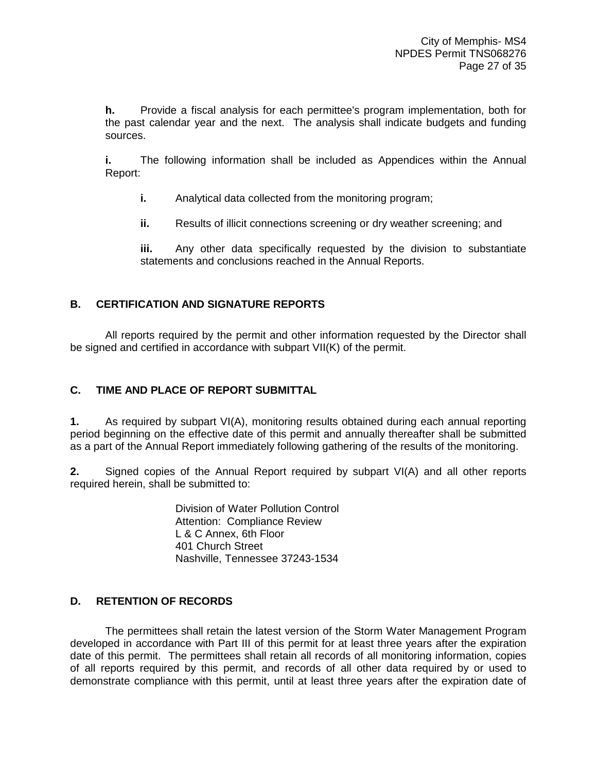<span id="page-31-0"></span>**h.** Provide a fiscal analysis for each permittee's program implementation, both for the past calendar year and the next. The analysis shall indicate budgets and funding sources.

**i.** The following information shall be included as Appendices within the Annual Report:

- **i.** Analytical data collected from the monitoring program;
- **ii.** Results of illicit connections screening or dry weather screening; and

**iii.** Any other data specifically requested by the division to substantiate statements and conclusions reached in the Annual Reports.

## **B. CERTIFICATION AND SIGNATURE REPORTS**

All reports required by the permit and other information requested by the Director shall be signed and certified in accordance with subpart VII(K) of the permit.

## **C. TIME AND PLACE OF REPORT SUBMITTAL**

**1.** As required by subpart VI(A), monitoring results obtained during each annual reporting period beginning on the effective date of this permit and annually thereafter shall be submitted as a part of the Annual Report immediately following gathering of the results of the monitoring.

**2.** Signed copies of the Annual Report required by subpart VI(A) and all other reports required herein, shall be submitted to:

> Division of Water Pollution Control Attention: Compliance Review L & C Annex, 6th Floor 401 Church Street Nashville, Tennessee 37243-1534

## **D. RETENTION OF RECORDS**

 The permittees shall retain the latest version of the Storm Water Management Program developed in accordance with Part III of this permit for at least three years after the expiration date of this permit. The permittees shall retain all records of all monitoring information, copies of all reports required by this permit, and records of all other data required by or used to demonstrate compliance with this permit, until at least three years after the expiration date of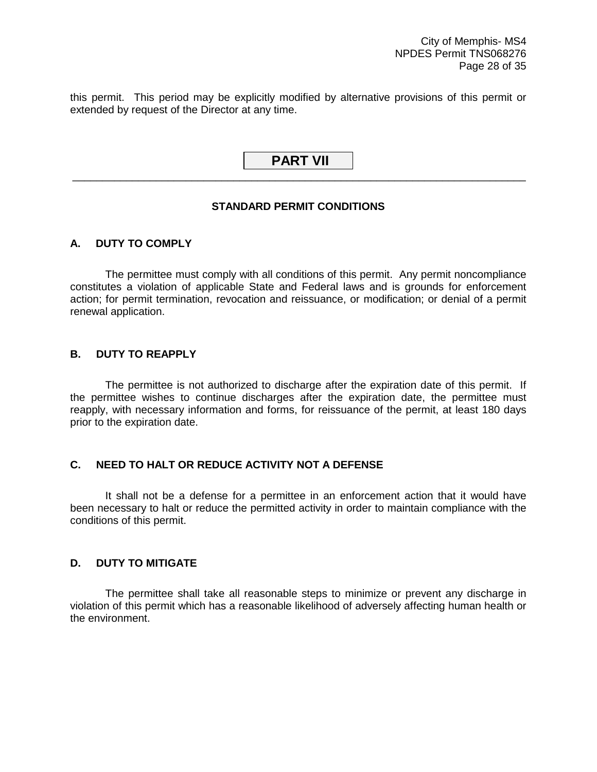<span id="page-32-0"></span>this permit. This period may be explicitly modified by alternative provisions of this permit or extended by request of the Director at any time.

## **PART VII** \_\_\_\_\_\_\_\_\_\_\_\_\_\_\_\_\_\_\_\_\_\_\_\_\_\_\_\_\_\_\_\_\_\_\_\_\_\_\_\_\_\_\_\_\_\_\_\_\_\_\_\_\_\_\_\_\_\_\_\_\_\_\_\_\_\_\_\_\_\_\_\_\_\_\_\_

## **STANDARD PERMIT CONDITIONS**

## **A. DUTY TO COMPLY**

 The permittee must comply with all conditions of this permit. Any permit noncompliance constitutes a violation of applicable State and Federal laws and is grounds for enforcement action; for permit termination, revocation and reissuance, or modification; or denial of a permit renewal application.

## **B. DUTY TO REAPPLY**

 The permittee is not authorized to discharge after the expiration date of this permit. If the permittee wishes to continue discharges after the expiration date, the permittee must reapply, with necessary information and forms, for reissuance of the permit, at least 180 days prior to the expiration date.

## **C. NEED TO HALT OR REDUCE ACTIVITY NOT A DEFENSE**

 It shall not be a defense for a permittee in an enforcement action that it would have been necessary to halt or reduce the permitted activity in order to maintain compliance with the conditions of this permit.

## **D. DUTY TO MITIGATE**

 The permittee shall take all reasonable steps to minimize or prevent any discharge in violation of this permit which has a reasonable likelihood of adversely affecting human health or the environment.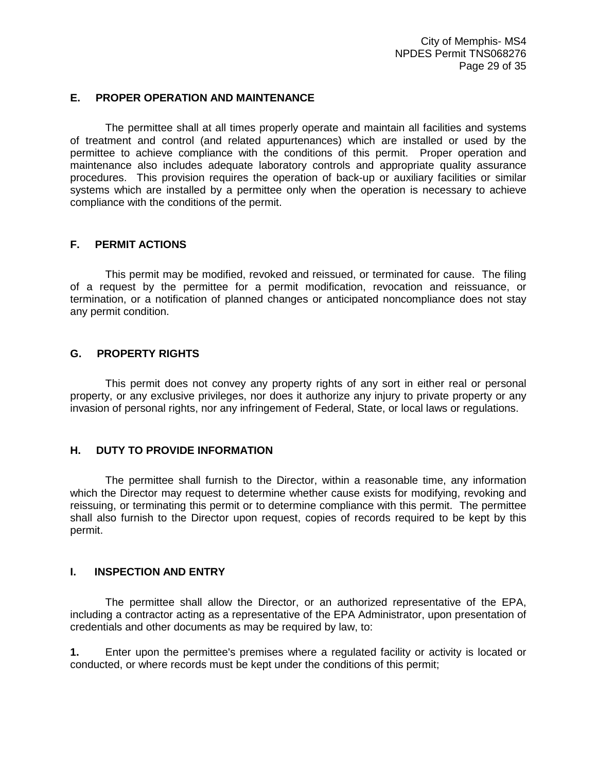#### <span id="page-33-0"></span>**E. PROPER OPERATION AND MAINTENANCE**

 The permittee shall at all times properly operate and maintain all facilities and systems of treatment and control (and related appurtenances) which are installed or used by the permittee to achieve compliance with the conditions of this permit. Proper operation and maintenance also includes adequate laboratory controls and appropriate quality assurance procedures. This provision requires the operation of back-up or auxiliary facilities or similar systems which are installed by a permittee only when the operation is necessary to achieve compliance with the conditions of the permit.

## **F. PERMIT ACTIONS**

 This permit may be modified, revoked and reissued, or terminated for cause. The filing of a request by the permittee for a permit modification, revocation and reissuance, or termination, or a notification of planned changes or anticipated noncompliance does not stay any permit condition.

## **G. PROPERTY RIGHTS**

 This permit does not convey any property rights of any sort in either real or personal property, or any exclusive privileges, nor does it authorize any injury to private property or any invasion of personal rights, nor any infringement of Federal, State, or local laws or regulations.

## **H. DUTY TO PROVIDE INFORMATION**

 The permittee shall furnish to the Director, within a reasonable time, any information which the Director may request to determine whether cause exists for modifying, revoking and reissuing, or terminating this permit or to determine compliance with this permit. The permittee shall also furnish to the Director upon request, copies of records required to be kept by this permit.

#### **I. INSPECTION AND ENTRY**

 The permittee shall allow the Director, or an authorized representative of the EPA, including a contractor acting as a representative of the EPA Administrator, upon presentation of credentials and other documents as may be required by law, to:

**1.** Enter upon the permittee's premises where a regulated facility or activity is located or conducted, or where records must be kept under the conditions of this permit;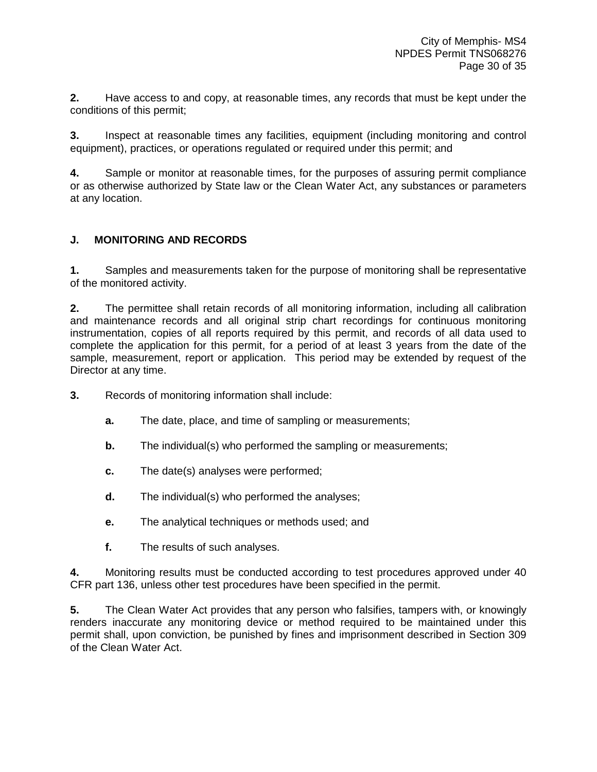<span id="page-34-0"></span>**2.** Have access to and copy, at reasonable times, any records that must be kept under the conditions of this permit;

**3.** Inspect at reasonable times any facilities, equipment (including monitoring and control equipment), practices, or operations regulated or required under this permit; and

**4.** Sample or monitor at reasonable times, for the purposes of assuring permit compliance or as otherwise authorized by State law or the Clean Water Act, any substances or parameters at any location.

## **J. MONITORING AND RECORDS**

**1.** Samples and measurements taken for the purpose of monitoring shall be representative of the monitored activity.

**2.** The permittee shall retain records of all monitoring information, including all calibration and maintenance records and all original strip chart recordings for continuous monitoring instrumentation, copies of all reports required by this permit, and records of all data used to complete the application for this permit, for a period of at least 3 years from the date of the sample, measurement, report or application. This period may be extended by request of the Director at any time.

- **3.** Records of monitoring information shall include:
	- **a.** The date, place, and time of sampling or measurements;
	- **b.** The individual(s) who performed the sampling or measurements;
	- **c.** The date(s) analyses were performed;
	- **d.** The individual(s) who performed the analyses;
	- **e.** The analytical techniques or methods used; and
	- **f.** The results of such analyses.

**4.** Monitoring results must be conducted according to test procedures approved under 40 CFR part 136, unless other test procedures have been specified in the permit.

**5.** The Clean Water Act provides that any person who falsifies, tampers with, or knowingly renders inaccurate any monitoring device or method required to be maintained under this permit shall, upon conviction, be punished by fines and imprisonment described in Section 309 of the Clean Water Act.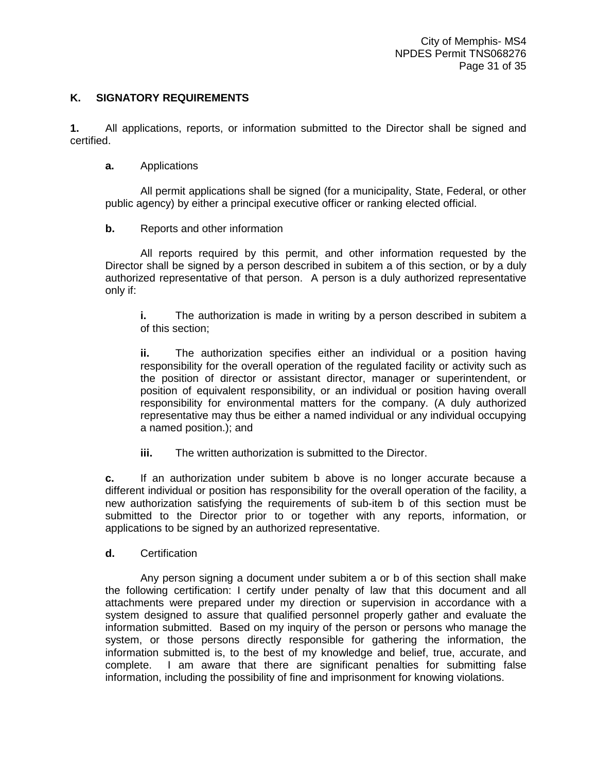## <span id="page-35-0"></span>**K. SIGNATORY REQUIREMENTS**

**1.** All applications, reports, or information submitted to the Director shall be signed and certified.

#### **a.** Applications

 All permit applications shall be signed (for a municipality, State, Federal, or other public agency) by either a principal executive officer or ranking elected official.

## **b.** Reports and other information

 All reports required by this permit, and other information requested by the Director shall be signed by a person described in subitem a of this section, or by a duly authorized representative of that person. A person is a duly authorized representative only if:

**i.** The authorization is made in writing by a person described in subitem a of this section;

**ii.** The authorization specifies either an individual or a position having responsibility for the overall operation of the regulated facility or activity such as the position of director or assistant director, manager or superintendent, or position of equivalent responsibility, or an individual or position having overall responsibility for environmental matters for the company. (A duly authorized representative may thus be either a named individual or any individual occupying a named position.); and

**iii.** The written authorization is submitted to the Director.

**c.** If an authorization under subitem b above is no longer accurate because a different individual or position has responsibility for the overall operation of the facility, a new authorization satisfying the requirements of sub-item b of this section must be submitted to the Director prior to or together with any reports, information, or applications to be signed by an authorized representative.

**d.** Certification

 Any person signing a document under subitem a or b of this section shall make the following certification: I certify under penalty of law that this document and all attachments were prepared under my direction or supervision in accordance with a system designed to assure that qualified personnel properly gather and evaluate the information submitted. Based on my inquiry of the person or persons who manage the system, or those persons directly responsible for gathering the information, the information submitted is, to the best of my knowledge and belief, true, accurate, and complete. I am aware that there are significant penalties for submitting false information, including the possibility of fine and imprisonment for knowing violations.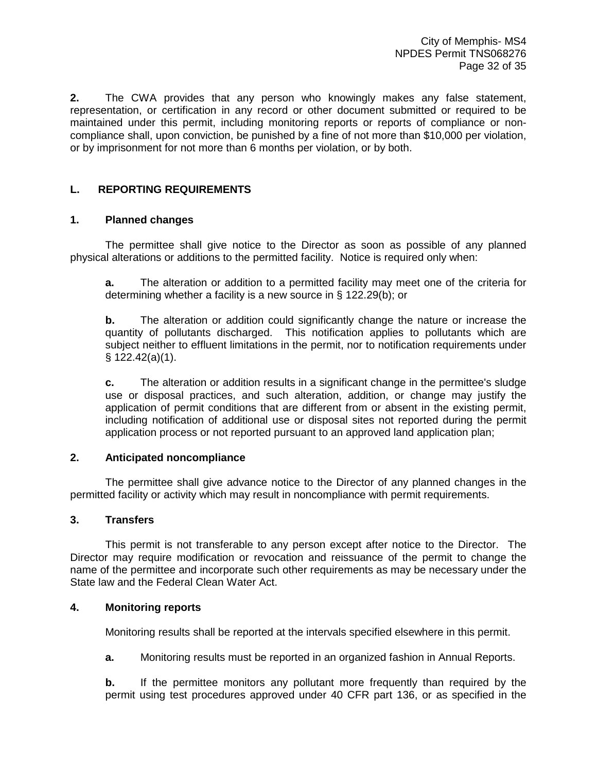<span id="page-36-0"></span>**2.** The CWA provides that any person who knowingly makes any false statement, representation, or certification in any record or other document submitted or required to be maintained under this permit, including monitoring reports or reports of compliance or noncompliance shall, upon conviction, be punished by a fine of not more than \$10,000 per violation, or by imprisonment for not more than 6 months per violation, or by both.

## **L. REPORTING REQUIREMENTS**

## **1. Planned changes**

 The permittee shall give notice to the Director as soon as possible of any planned physical alterations or additions to the permitted facility. Notice is required only when:

**a.** The alteration or addition to a permitted facility may meet one of the criteria for determining whether a facility is a new source in § 122.29(b); or

**b.** The alteration or addition could significantly change the nature or increase the quantity of pollutants discharged. This notification applies to pollutants which are subject neither to effluent limitations in the permit, nor to notification requirements under § 122.42(a)(1).

**c.** The alteration or addition results in a significant change in the permittee's sludge use or disposal practices, and such alteration, addition, or change may justify the application of permit conditions that are different from or absent in the existing permit, including notification of additional use or disposal sites not reported during the permit application process or not reported pursuant to an approved land application plan;

## **2. Anticipated noncompliance**

 The permittee shall give advance notice to the Director of any planned changes in the permitted facility or activity which may result in noncompliance with permit requirements.

## **3. Transfers**

 This permit is not transferable to any person except after notice to the Director. The Director may require modification or revocation and reissuance of the permit to change the name of the permittee and incorporate such other requirements as may be necessary under the State law and the Federal Clean Water Act.

## **4. Monitoring reports**

Monitoring results shall be reported at the intervals specified elsewhere in this permit.

**a.** Monitoring results must be reported in an organized fashion in Annual Reports.

**b.** If the permittee monitors any pollutant more frequently than required by the permit using test procedures approved under 40 CFR part 136, or as specified in the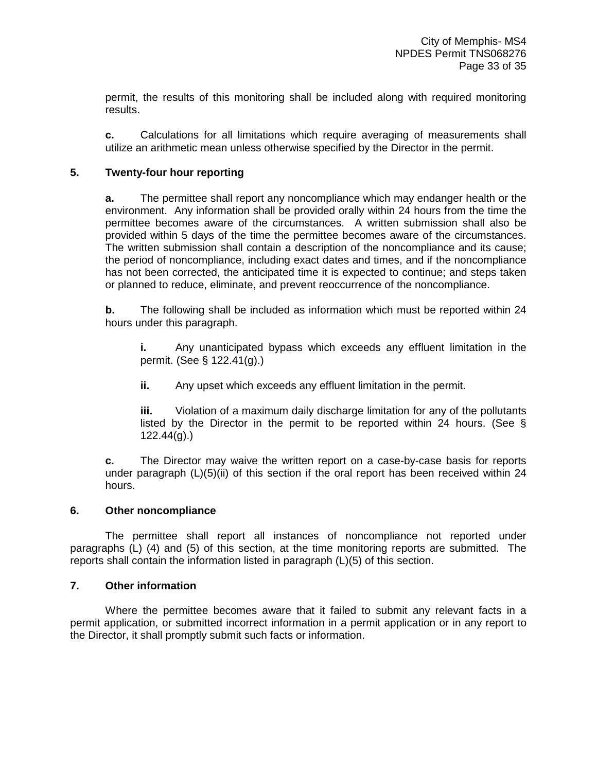permit, the results of this monitoring shall be included along with required monitoring results.

**c.** Calculations for all limitations which require averaging of measurements shall utilize an arithmetic mean unless otherwise specified by the Director in the permit.

## **5. Twenty-four hour reporting**

**a.** The permittee shall report any noncompliance which may endanger health or the environment. Any information shall be provided orally within 24 hours from the time the permittee becomes aware of the circumstances. A written submission shall also be provided within 5 days of the time the permittee becomes aware of the circumstances. The written submission shall contain a description of the noncompliance and its cause; the period of noncompliance, including exact dates and times, and if the noncompliance has not been corrected, the anticipated time it is expected to continue; and steps taken or planned to reduce, eliminate, and prevent reoccurrence of the noncompliance.

**b.** The following shall be included as information which must be reported within 24 hours under this paragraph.

**i.** Any unanticipated bypass which exceeds any effluent limitation in the permit. (See § 122.41(g).)

**ii.** Any upset which exceeds any effluent limitation in the permit.

**iii.** Violation of a maximum daily discharge limitation for any of the pollutants listed by the Director in the permit to be reported within 24 hours. (See § 122.44(g).)

**c.** The Director may waive the written report on a case-by-case basis for reports under paragraph (L)(5)(ii) of this section if the oral report has been received within 24 hours.

#### **6. Other noncompliance**

 The permittee shall report all instances of noncompliance not reported under paragraphs (L) (4) and (5) of this section, at the time monitoring reports are submitted. The reports shall contain the information listed in paragraph (L)(5) of this section.

## **7. Other information**

 Where the permittee becomes aware that it failed to submit any relevant facts in a permit application, or submitted incorrect information in a permit application or in any report to the Director, it shall promptly submit such facts or information.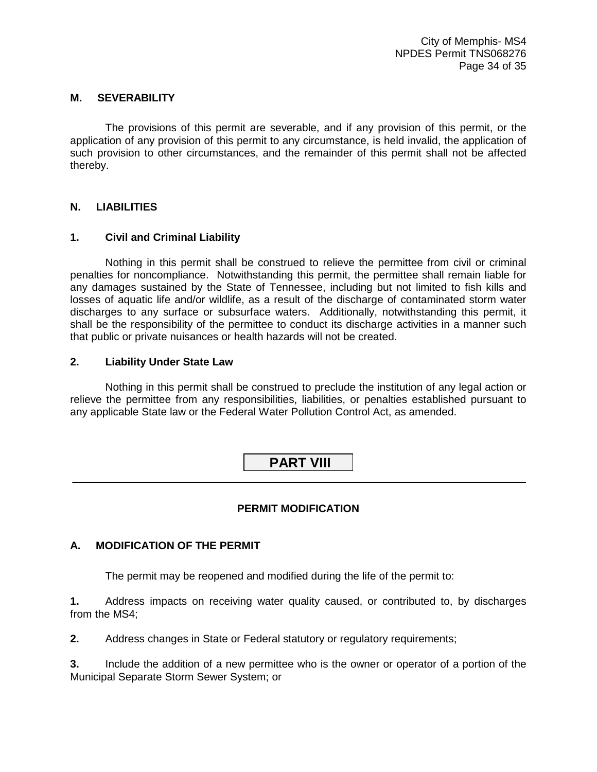## <span id="page-38-0"></span>**M. SEVERABILITY**

 The provisions of this permit are severable, and if any provision of this permit, or the application of any provision of this permit to any circumstance, is held invalid, the application of such provision to other circumstances, and the remainder of this permit shall not be affected thereby.

## **N. LIABILITIES**

## **1. Civil and Criminal Liability**

 Nothing in this permit shall be construed to relieve the permittee from civil or criminal penalties for noncompliance. Notwithstanding this permit, the permittee shall remain liable for any damages sustained by the State of Tennessee, including but not limited to fish kills and losses of aquatic life and/or wildlife, as a result of the discharge of contaminated storm water discharges to any surface or subsurface waters. Additionally, notwithstanding this permit, it shall be the responsibility of the permittee to conduct its discharge activities in a manner such that public or private nuisances or health hazards will not be created.

## **2. Liability Under State Law**

 Nothing in this permit shall be construed to preclude the institution of any legal action or relieve the permittee from any responsibilities, liabilities, or penalties established pursuant to any applicable State law or the Federal Water Pollution Control Act, as amended.

## **PART VIII** \_\_\_\_\_\_\_\_\_\_\_\_\_\_\_\_\_\_\_\_\_\_\_\_\_\_\_\_\_\_\_\_\_\_\_\_\_\_\_\_\_\_\_\_\_\_\_\_\_\_\_\_\_\_\_\_\_\_\_\_\_\_\_\_\_\_\_\_\_\_\_\_\_\_\_\_

## **PERMIT MODIFICATION**

#### **A. MODIFICATION OF THE PERMIT**

The permit may be reopened and modified during the life of the permit to:

**1.** Address impacts on receiving water quality caused, or contributed to, by discharges from the MS4;

**2.** Address changes in State or Federal statutory or regulatory requirements;

**3.** Include the addition of a new permittee who is the owner or operator of a portion of the Municipal Separate Storm Sewer System; or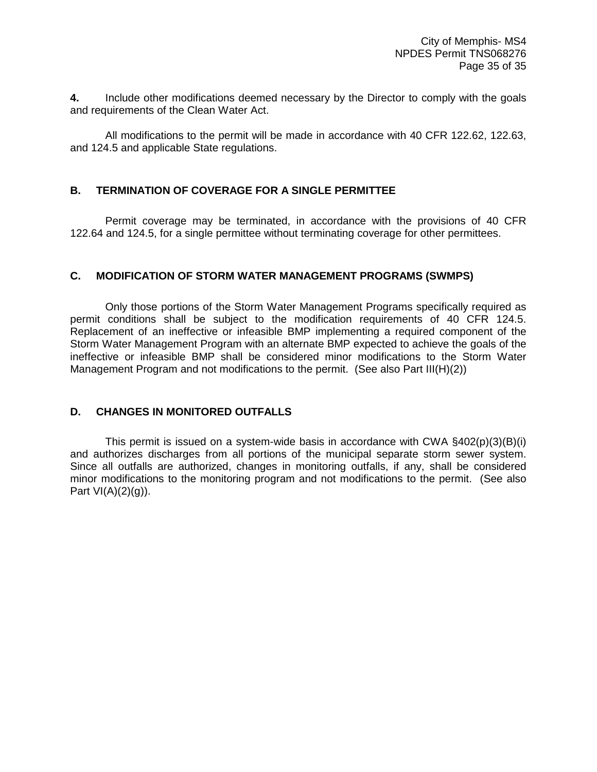<span id="page-39-0"></span>**4.** Include other modifications deemed necessary by the Director to comply with the goals and requirements of the Clean Water Act.

 All modifications to the permit will be made in accordance with 40 CFR 122.62, 122.63, and 124.5 and applicable State regulations.

## **B. TERMINATION OF COVERAGE FOR A SINGLE PERMITTEE**

 Permit coverage may be terminated, in accordance with the provisions of 40 CFR 122.64 and 124.5, for a single permittee without terminating coverage for other permittees.

## **C. MODIFICATION OF STORM WATER MANAGEMENT PROGRAMS (SWMPS)**

 Only those portions of the Storm Water Management Programs specifically required as permit conditions shall be subject to the modification requirements of 40 CFR 124.5. Replacement of an ineffective or infeasible BMP implementing a required component of the Storm Water Management Program with an alternate BMP expected to achieve the goals of the ineffective or infeasible BMP shall be considered minor modifications to the Storm Water Management Program and not modifications to the permit. (See also Part III(H)(2))

#### **D. CHANGES IN MONITORED OUTFALLS**

This permit is issued on a system-wide basis in accordance with CWA  $\S402(p)(3)(B)(i)$ and authorizes discharges from all portions of the municipal separate storm sewer system. Since all outfalls are authorized, changes in monitoring outfalls, if any, shall be considered minor modifications to the monitoring program and not modifications to the permit. (See also Part  $VI(A)(2)(g)$ ).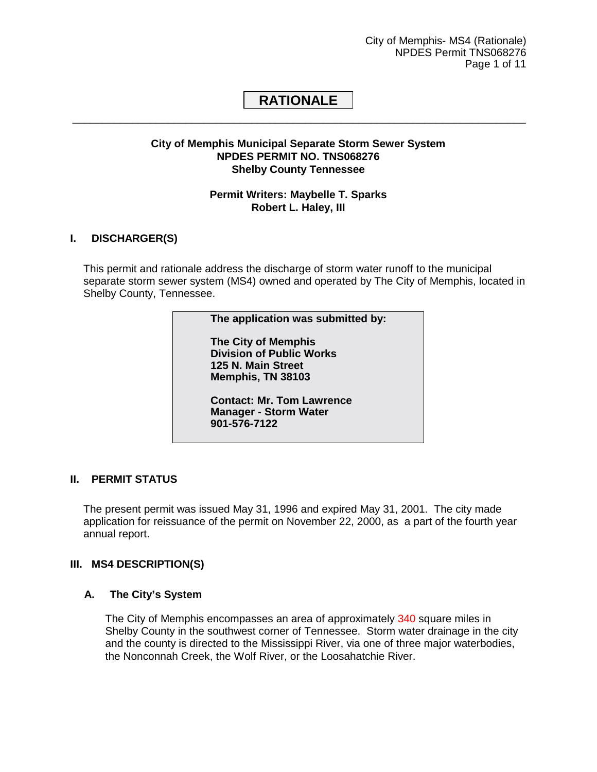City of Memphis- MS4 (Rationale) NPDES Permit TNS068276 Page 1 of 11

## <span id="page-40-0"></span>**RATIONALE**  \_\_\_\_\_\_\_\_\_\_\_\_\_\_\_\_\_\_\_\_\_\_\_\_\_\_\_\_\_\_\_\_\_\_\_\_\_\_\_\_\_\_\_\_\_\_\_\_\_\_\_\_\_\_\_\_\_\_\_\_\_\_\_\_\_\_\_\_\_\_\_\_\_\_\_\_

## **City of Memphis Municipal Separate Storm Sewer System NPDES PERMIT NO. TNS068276 Shelby County Tennessee**

## **Permit Writers: Maybelle T. Sparks Robert L. Haley, III**

## **I. DISCHARGER(S)**

This permit and rationale address the discharge of storm water runoff to the municipal separate storm sewer system (MS4) owned and operated by The City of Memphis, located in Shelby County, Tennessee.

#### **The application was submitted by:**

 **The City of Memphis Division of Public Works 125 N. Main Street Memphis, TN 38103** 

 **Contact: Mr. Tom Lawrence Manager - Storm Water 901-576-7122** 

## **II. PERMIT STATUS**

The present permit was issued May 31, 1996 and expired May 31, 2001. The city made application for reissuance of the permit on November 22, 2000, as a part of the fourth year annual report.

#### **III. MS4 DESCRIPTION(S)**

#### **A. The City's System**

The City of Memphis encompasses an area of approximately 340 square miles in Shelby County in the southwest corner of Tennessee. Storm water drainage in the city and the county is directed to the Mississippi River, via one of three major waterbodies, the Nonconnah Creek, the Wolf River, or the Loosahatchie River.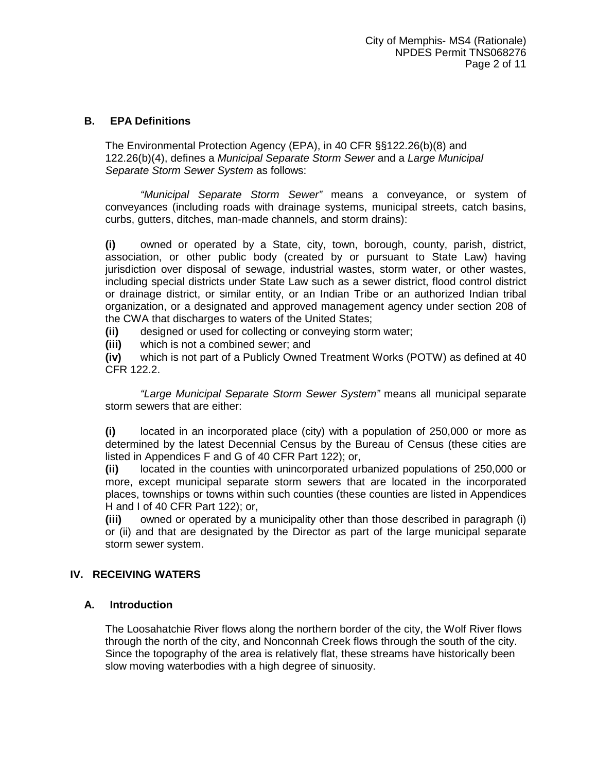## <span id="page-41-0"></span>**B. EPA Definitions**

The Environmental Protection Agency (EPA), in 40 CFR §§122.26(b)(8) and 122.26(b)(4), defines a *Municipal Separate Storm Sewer* and a *Large Municipal Separate Storm Sewer System* as follows:

*"Municipal Separate Storm Sewer"* means a conveyance, or system of conveyances (including roads with drainage systems, municipal streets, catch basins, curbs, gutters, ditches, man-made channels, and storm drains):

**(i)** owned or operated by a State, city, town, borough, county, parish, district, association, or other public body (created by or pursuant to State Law) having jurisdiction over disposal of sewage, industrial wastes, storm water, or other wastes, including special districts under State Law such as a sewer district, flood control district or drainage district, or similar entity, or an Indian Tribe or an authorized Indian tribal organization, or a designated and approved management agency under section 208 of the CWA that discharges to waters of the United States;

**(ii)** designed or used for collecting or conveying storm water;

**(iii)** which is not a combined sewer; and

**(iv)** which is not part of a Publicly Owned Treatment Works (POTW) as defined at 40 CFR 122.2.

*"Large Municipal Separate Storm Sewer System"* means all municipal separate storm sewers that are either:

**(i)** located in an incorporated place (city) with a population of 250,000 or more as determined by the latest Decennial Census by the Bureau of Census (these cities are listed in Appendices F and G of 40 CFR Part 122); or,

**(ii)** located in the counties with unincorporated urbanized populations of 250,000 or more, except municipal separate storm sewers that are located in the incorporated places, townships or towns within such counties (these counties are listed in Appendices H and I of 40 CFR Part 122); or,

**(iii)** owned or operated by a municipality other than those described in paragraph (i) or (ii) and that are designated by the Director as part of the large municipal separate storm sewer system.

## **IV. RECEIVING WATERS**

#### **A. Introduction**

The Loosahatchie River flows along the northern border of the city, the Wolf River flows through the north of the city, and Nonconnah Creek flows through the south of the city. Since the topography of the area is relatively flat, these streams have historically been slow moving waterbodies with a high degree of sinuosity.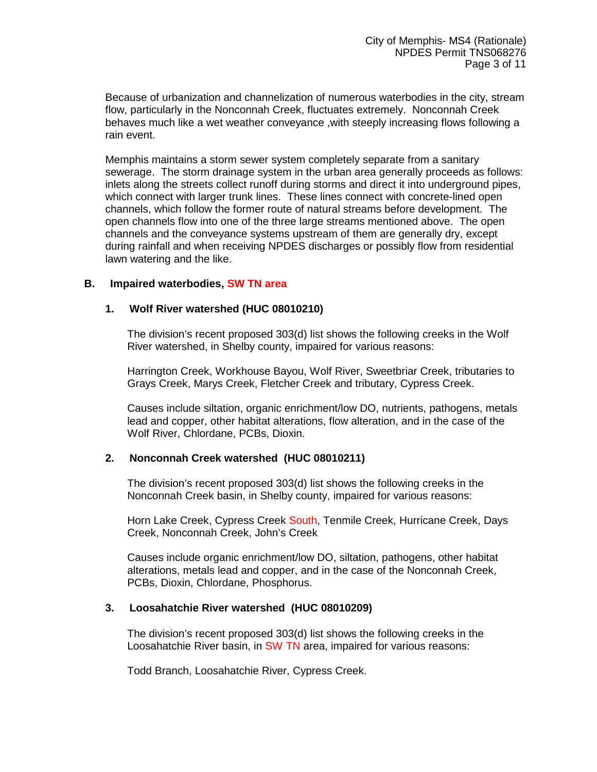<span id="page-42-0"></span>Because of urbanization and channelization of numerous waterbodies in the city, stream flow, particularly in the Nonconnah Creek, fluctuates extremely. Nonconnah Creek behaves much like a wet weather conveyance ,with steeply increasing flows following a rain event.

Memphis maintains a storm sewer system completely separate from a sanitary sewerage. The storm drainage system in the urban area generally proceeds as follows: inlets along the streets collect runoff during storms and direct it into underground pipes, which connect with larger trunk lines. These lines connect with concrete-lined open channels, which follow the former route of natural streams before development. The open channels flow into one of the three large streams mentioned above. The open channels and the conveyance systems upstream of them are generally dry, except during rainfall and when receiving NPDES discharges or possibly flow from residential lawn watering and the like.

## **B. Impaired waterbodies, SW TN area**

## **1. Wolf River watershed (HUC 08010210)**

The division's recent proposed 303(d) list shows the following creeks in the Wolf River watershed, in Shelby county, impaired for various reasons:

Harrington Creek, Workhouse Bayou, Wolf River, Sweetbriar Creek, tributaries to Grays Creek, Marys Creek, Fletcher Creek and tributary, Cypress Creek.

Causes include siltation, organic enrichment/low DO, nutrients, pathogens, metals lead and copper, other habitat alterations, flow alteration, and in the case of the Wolf River, Chlordane, PCBs, Dioxin.

#### **2. Nonconnah Creek watershed (HUC 08010211)**

The division's recent proposed 303(d) list shows the following creeks in the Nonconnah Creek basin, in Shelby county, impaired for various reasons:

Horn Lake Creek, Cypress Creek South, Tenmile Creek, Hurricane Creek, Days Creek, Nonconnah Creek, John's Creek

Causes include organic enrichment/low DO, siltation, pathogens, other habitat alterations, metals lead and copper, and in the case of the Nonconnah Creek, PCBs, Dioxin, Chlordane, Phosphorus.

#### **3. Loosahatchie River watershed (HUC 08010209)**

The division's recent proposed 303(d) list shows the following creeks in the Loosahatchie River basin, in SW TN area, impaired for various reasons:

Todd Branch, Loosahatchie River, Cypress Creek.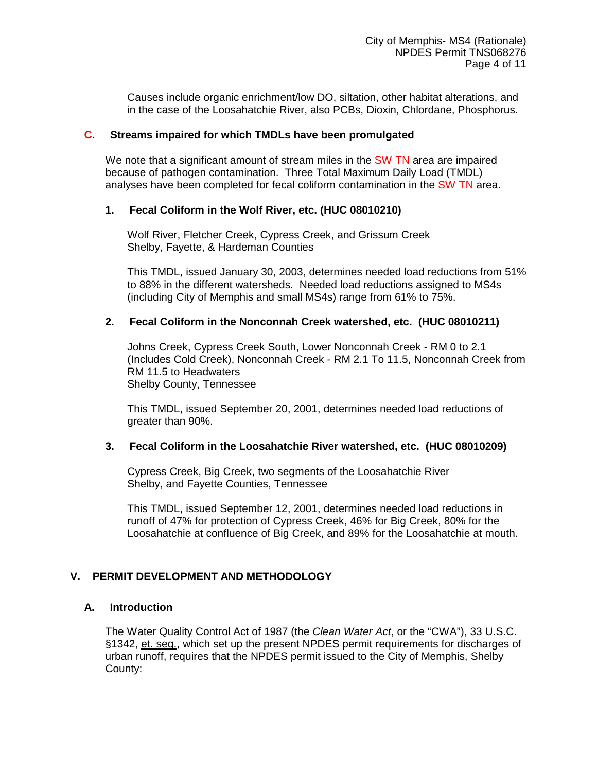Causes include organic enrichment/low DO, siltation, other habitat alterations, and in the case of the Loosahatchie River, also PCBs, Dioxin, Chlordane, Phosphorus.

## <span id="page-43-0"></span>**C. Streams impaired for which TMDLs have been promulgated**

We note that a significant amount of stream miles in the SW TN area are impaired because of pathogen contamination. Three Total Maximum Daily Load (TMDL) analyses have been completed for fecal coliform contamination in the SW TN area.

## **1. Fecal Coliform in the Wolf River, etc. (HUC 08010210)**

Wolf River, Fletcher Creek, Cypress Creek, and Grissum Creek Shelby, Fayette, & Hardeman Counties

This TMDL, issued January 30, 2003, determines needed load reductions from 51% to 88% in the different watersheds. Needed load reductions assigned to MS4s (including City of Memphis and small MS4s) range from 61% to 75%.

## **2. Fecal Coliform in the Nonconnah Creek watershed, etc. (HUC 08010211)**

Johns Creek, Cypress Creek South, Lower Nonconnah Creek - RM 0 to 2.1 (Includes Cold Creek), Nonconnah Creek - RM 2.1 To 11.5, Nonconnah Creek from RM 11.5 to Headwaters Shelby County, Tennessee

This TMDL, issued September 20, 2001, determines needed load reductions of greater than 90%.

## **3. Fecal Coliform in the Loosahatchie River watershed, etc. (HUC 08010209)**

Cypress Creek, Big Creek, two segments of the Loosahatchie River Shelby, and Fayette Counties, Tennessee

This TMDL, issued September 12, 2001, determines needed load reductions in runoff of 47% for protection of Cypress Creek, 46% for Big Creek, 80% for the Loosahatchie at confluence of Big Creek, and 89% for the Loosahatchie at mouth.

## **V. PERMIT DEVELOPMENT AND METHODOLOGY**

## **A. Introduction**

The Water Quality Control Act of 1987 (the *Clean Water Act*, or the "CWA"), 33 U.S.C. §1342, et. seq., which set up the present NPDES permit requirements for discharges of urban runoff, requires that the NPDES permit issued to the City of Memphis, Shelby County: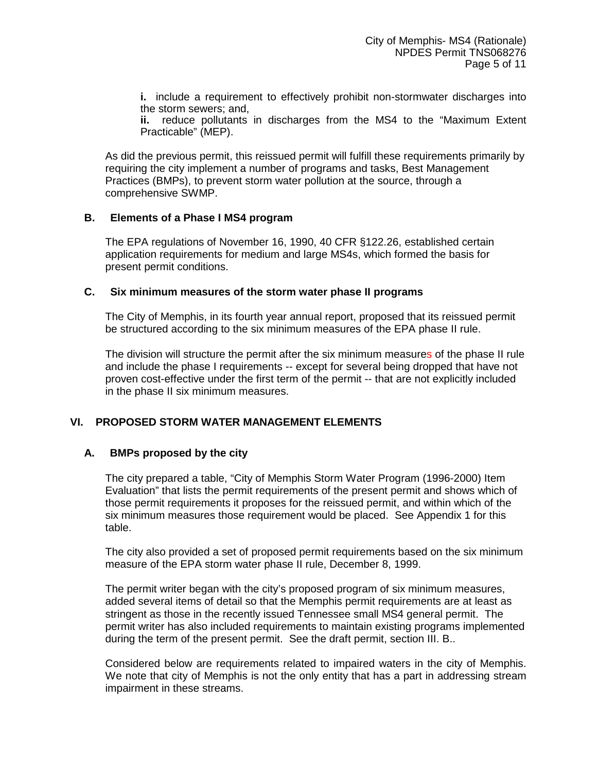<span id="page-44-0"></span>**i.** include a requirement to effectively prohibit non-stormwater discharges into the storm sewers; and,

**ii.** reduce pollutants in discharges from the MS4 to the "Maximum Extent Practicable" (MEP).

As did the previous permit, this reissued permit will fulfill these requirements primarily by requiring the city implement a number of programs and tasks, Best Management Practices (BMPs), to prevent storm water pollution at the source, through a comprehensive SWMP.

## **B. Elements of a Phase I MS4 program**

The EPA regulations of November 16, 1990, 40 CFR §122.26, established certain application requirements for medium and large MS4s, which formed the basis for present permit conditions.

## **C. Six minimum measures of the storm water phase II programs**

The City of Memphis, in its fourth year annual report, proposed that its reissued permit be structured according to the six minimum measures of the EPA phase II rule.

The division will structure the permit after the six minimum measures of the phase II rule and include the phase I requirements -- except for several being dropped that have not proven cost-effective under the first term of the permit -- that are not explicitly included in the phase II six minimum measures.

## **VI. PROPOSED STORM WATER MANAGEMENT ELEMENTS**

## **A. BMPs proposed by the city**

The city prepared a table, "City of Memphis Storm Water Program (1996-2000) Item Evaluation" that lists the permit requirements of the present permit and shows which of those permit requirements it proposes for the reissued permit, and within which of the six minimum measures those requirement would be placed. See Appendix 1 for this table.

The city also provided a set of proposed permit requirements based on the six minimum measure of the EPA storm water phase II rule, December 8, 1999.

The permit writer began with the city's proposed program of six minimum measures, added several items of detail so that the Memphis permit requirements are at least as stringent as those in the recently issued Tennessee small MS4 general permit. The permit writer has also included requirements to maintain existing programs implemented during the term of the present permit. See the draft permit, section III. B..

Considered below are requirements related to impaired waters in the city of Memphis. We note that city of Memphis is not the only entity that has a part in addressing stream impairment in these streams.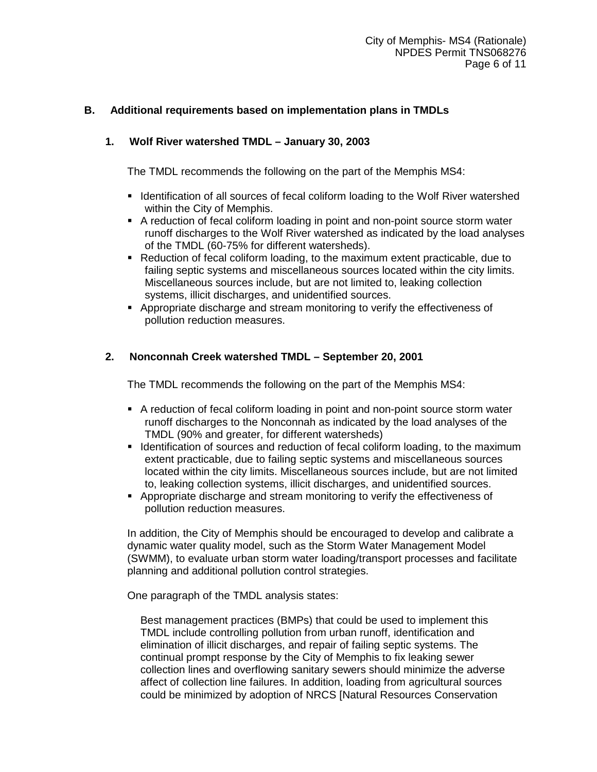## <span id="page-45-0"></span>**B. Additional requirements based on implementation plans in TMDLs**

## **1. Wolf River watershed TMDL – January 30, 2003**

The TMDL recommends the following on the part of the Memphis MS4:

- **-** Identification of all sources of fecal coliform loading to the Wolf River watershed within the City of Memphis.
- -A reduction of fecal coliform loading in point and non-point source storm water runoff discharges to the Wolf River watershed as indicated by the load analyses of the TMDL (60-75% for different watersheds).
- -Reduction of fecal coliform loading, to the maximum extent practicable, due to failing septic systems and miscellaneous sources located within the city limits. Miscellaneous sources include, but are not limited to, leaking collection systems, illicit discharges, and unidentified sources.
- **Appropriate discharge and stream monitoring to verify the effectiveness of** pollution reduction measures.

## **2. Nonconnah Creek watershed TMDL – September 20, 2001**

The TMDL recommends the following on the part of the Memphis MS4:

- -A reduction of fecal coliform loading in point and non-point source storm water runoff discharges to the Nonconnah as indicated by the load analyses of the TMDL (90% and greater, for different watersheds)
- **IDENTIFICATED IS INTERFEDE 10 IN STATE IS NOTEN IS ADDED** IN IDENTIFICATED IN IDENTIFICATED IN IDENTIFICATED IN extent practicable, due to failing septic systems and miscellaneous sources located within the city limits. Miscellaneous sources include, but are not limited to, leaking collection systems, illicit discharges, and unidentified sources.
- -Appropriate discharge and stream monitoring to verify the effectiveness of pollution reduction measures.

In addition, the City of Memphis should be encouraged to develop and calibrate a dynamic water quality model, such as the Storm Water Management Model (SWMM), to evaluate urban storm water loading/transport processes and facilitate planning and additional pollution control strategies.

One paragraph of the TMDL analysis states:

Best management practices (BMPs) that could be used to implement this TMDL include controlling pollution from urban runoff, identification and elimination of illicit discharges, and repair of failing septic systems. The continual prompt response by the City of Memphis to fix leaking sewer collection lines and overflowing sanitary sewers should minimize the adverse affect of collection line failures. In addition, loading from agricultural sources could be minimized by adoption of NRCS [Natural Resources Conservation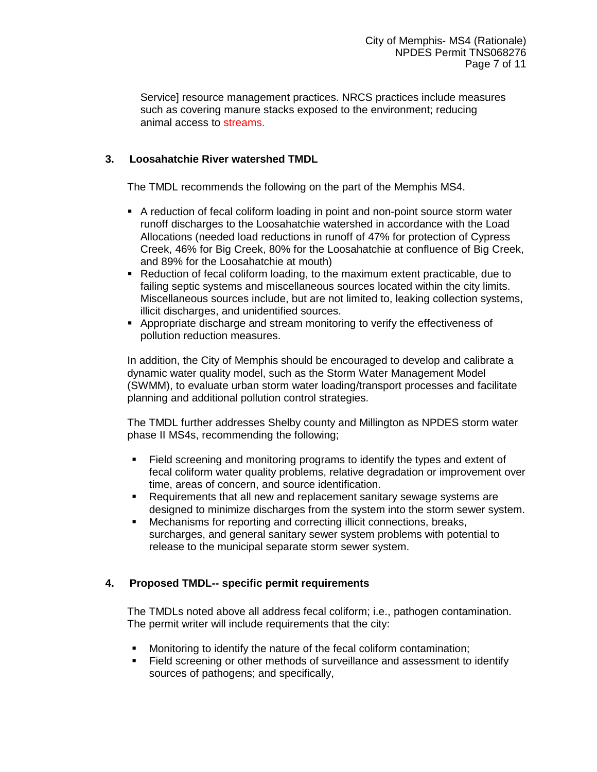Service] resource management practices. NRCS practices include measures such as covering manure stacks exposed to the environment; reducing animal access to streams.

## **3. Loosahatchie River watershed TMDL**

The TMDL recommends the following on the part of the Memphis MS4.

- -A reduction of fecal coliform loading in point and non-point source storm water runoff discharges to the Loosahatchie watershed in accordance with the Load Allocations (needed load reductions in runoff of 47% for protection of Cypress Creek, 46% for Big Creek, 80% for the Loosahatchie at confluence of Big Creek, and 89% for the Loosahatchie at mouth)
- -Reduction of fecal coliform loading, to the maximum extent practicable, due to failing septic systems and miscellaneous sources located within the city limits. Miscellaneous sources include, but are not limited to, leaking collection systems, illicit discharges, and unidentified sources.
- -Appropriate discharge and stream monitoring to verify the effectiveness of pollution reduction measures.

In addition, the City of Memphis should be encouraged to develop and calibrate a dynamic water quality model, such as the Storm Water Management Model (SWMM), to evaluate urban storm water loading/transport processes and facilitate planning and additional pollution control strategies.

The TMDL further addresses Shelby county and Millington as NPDES storm water phase II MS4s, recommending the following;

- - Field screening and monitoring programs to identify the types and extent of fecal coliform water quality problems, relative degradation or improvement over time, areas of concern, and source identification.
- Requirements that all new and replacement sanitary sewage systems are designed to minimize discharges from the system into the storm sewer system.
- - Mechanisms for reporting and correcting illicit connections, breaks, surcharges, and general sanitary sewer system problems with potential to release to the municipal separate storm sewer system.

## **4. Proposed TMDL-- specific permit requirements**

The TMDLs noted above all address fecal coliform; i.e., pathogen contamination. The permit writer will include requirements that the city:

- -Monitoring to identify the nature of the fecal coliform contamination;
- - Field screening or other methods of surveillance and assessment to identify sources of pathogens; and specifically,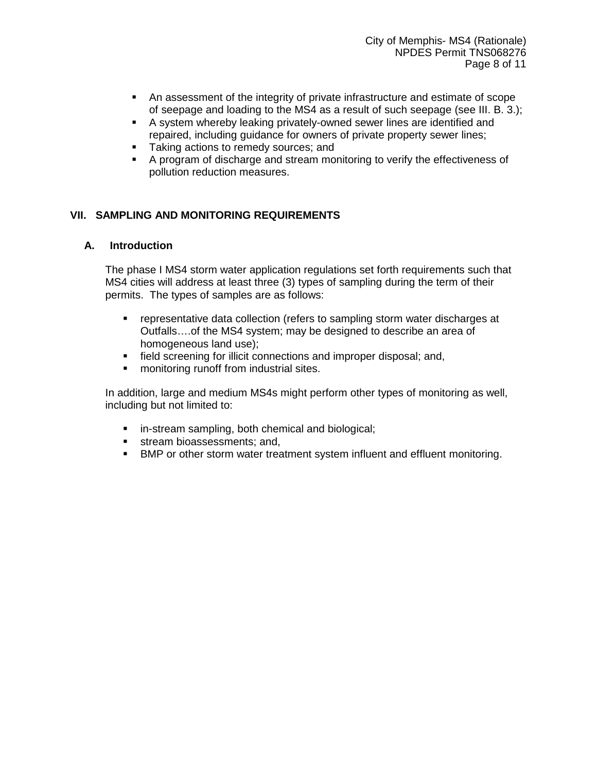- <span id="page-47-0"></span>- An assessment of the integrity of private infrastructure and estimate of scope of seepage and loading to the MS4 as a result of such seepage (see III. B. 3.);
- A system whereby leaking privately-owned sewer lines are identified and repaired, including guidance for owners of private property sewer lines;
- **Taking actions to remedy sources; and**
- - A program of discharge and stream monitoring to verify the effectiveness of pollution reduction measures.

## **VII. SAMPLING AND MONITORING REQUIREMENTS**

## **A. Introduction**

The phase I MS4 storm water application regulations set forth requirements such that MS4 cities will address at least three (3) types of sampling during the term of their permits. The types of samples are as follows:

- representative data collection (refers to sampling storm water discharges at Outfalls….of the MS4 system; may be designed to describe an area of homogeneous land use);
- field screening for illicit connections and improper disposal; and,
- monitoring runoff from industrial sites.

In addition, large and medium MS4s might perform other types of monitoring as well, including but not limited to:

- in-stream sampling, both chemical and biological;
- **stream bioassessments; and,**
- **BMP or other storm water treatment system influent and effluent monitoring.**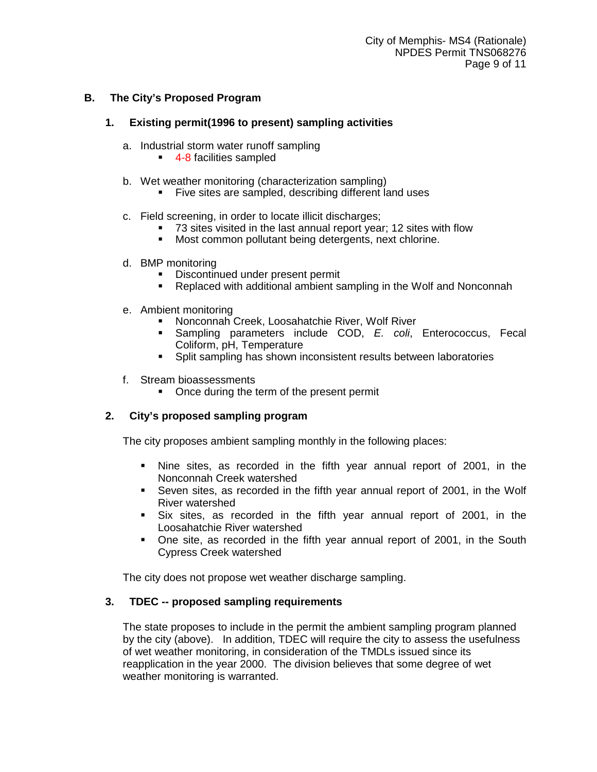## <span id="page-48-0"></span>**B. The City's Proposed Program**

## **1. Existing permit(1996 to present) sampling activities**

- a. Industrial storm water runoff sampling
	- **4-8 facilities sampled**
- b. Wet weather monitoring (characterization sampling)
	- Five sites are sampled, describing different land uses
- c. Field screening, in order to locate illicit discharges;
	- 73 sites visited in the last annual report year; 12 sites with flow
	- Most common pollutant being detergents, next chlorine.
- d. BMP monitoring
	- -Discontinued under present permit
	- -Replaced with additional ambient sampling in the Wolf and Nonconnah
- e. Ambient monitoring
	- -Nonconnah Creek, Loosahatchie River, Wolf River
	- - Sampling parameters include COD, *E. coli*, Enterococcus, Fecal Coliform, pH, Temperature
	- -Split sampling has shown inconsistent results between laboratories
- f. Stream bioassessments
	- **•** Once during the term of the present permit

## **2. City's proposed sampling program**

The city proposes ambient sampling monthly in the following places:

- Nine sites, as recorded in the fifth year annual report of 2001, in the Nonconnah Creek watershed
- **Seven sites, as recorded in the fifth year annual report of 2001, in the Wolf** River watershed
- Six sites, as recorded in the fifth year annual report of 2001, in the Loosahatchie River watershed
- One site, as recorded in the fifth year annual report of 2001, in the South Cypress Creek watershed

The city does not propose wet weather discharge sampling.

## **3. TDEC -- proposed sampling requirements**

The state proposes to include in the permit the ambient sampling program planned by the city (above). In addition, TDEC will require the city to assess the usefulness of wet weather monitoring, in consideration of the TMDLs issued since its reapplication in the year 2000. The division believes that some degree of wet weather monitoring is warranted.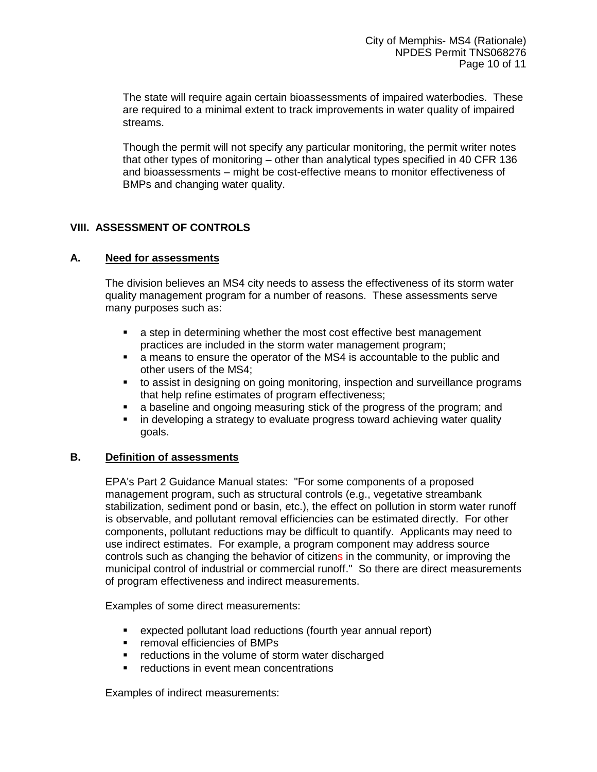<span id="page-49-0"></span>The state will require again certain bioassessments of impaired waterbodies. These are required to a minimal extent to track improvements in water quality of impaired streams.

Though the permit will not specify any particular monitoring, the permit writer notes that other types of monitoring – other than analytical types specified in 40 CFR 136 and bioassessments – might be cost-effective means to monitor effectiveness of BMPs and changing water quality.

## **VIII. ASSESSMENT OF CONTROLS**

## **A. Need for assessments**

The division believes an MS4 city needs to assess the effectiveness of its storm water quality management program for a number of reasons. These assessments serve many purposes such as:

- a step in determining whether the most cost effective best management practices are included in the storm water management program;
- **EXEC** a means to ensure the operator of the MS4 is accountable to the public and other users of the MS4;
- to assist in designing on going monitoring, inspection and surveillance programs that help refine estimates of program effectiveness;
- a baseline and ongoing measuring stick of the progress of the program; and
- in developing a strategy to evaluate progress toward achieving water quality goals.

## **B. Definition of assessments**

EPA's Part 2 Guidance Manual states: "For some components of a proposed management program, such as structural controls (e.g., vegetative streambank stabilization, sediment pond or basin, etc.), the effect on pollution in storm water runoff is observable, and pollutant removal efficiencies can be estimated directly. For other components, pollutant reductions may be difficult to quantify. Applicants may need to use indirect estimates. For example, a program component may address source controls such as changing the behavior of citizens in the community, or improving the municipal control of industrial or commercial runoff." So there are direct measurements of program effectiveness and indirect measurements.

Examples of some direct measurements:

- expected pollutant load reductions (fourth year annual report)
- removal efficiencies of BMPs
- reductions in the volume of storm water discharged
- reductions in event mean concentrations

Examples of indirect measurements: